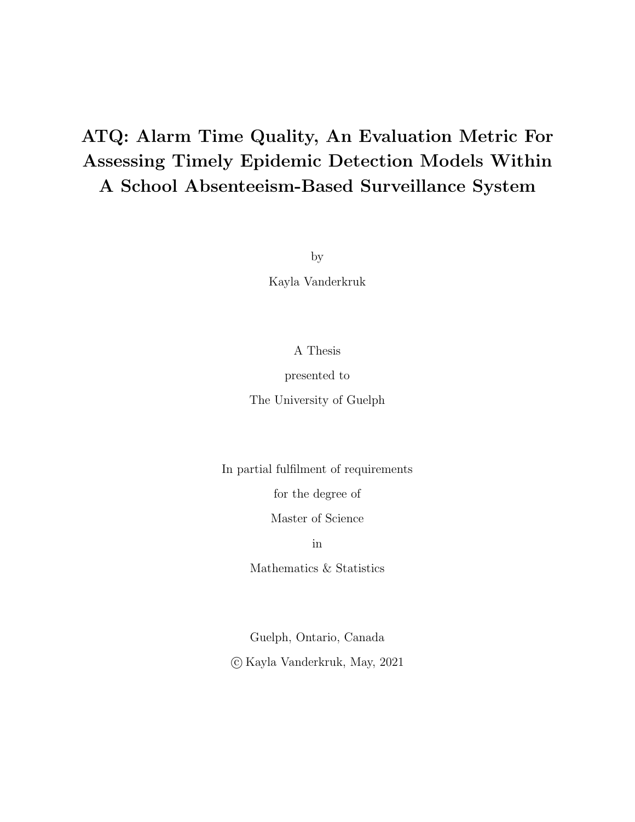## <span id="page-0-0"></span>ATQ: Alarm Time Quality, An Evaluation Metric For Assessing Timely Epidemic Detection Models Within A School Absenteeism-Based Surveillance System

by

Kayla Vanderkruk

#### A Thesis

#### presented to

The University of Guelph

In partial fulfilment of requirements

for the degree of

Master of Science

in

Mathematics & Statistics

Guelph, Ontario, Canada c Kayla Vanderkruk, May, 2021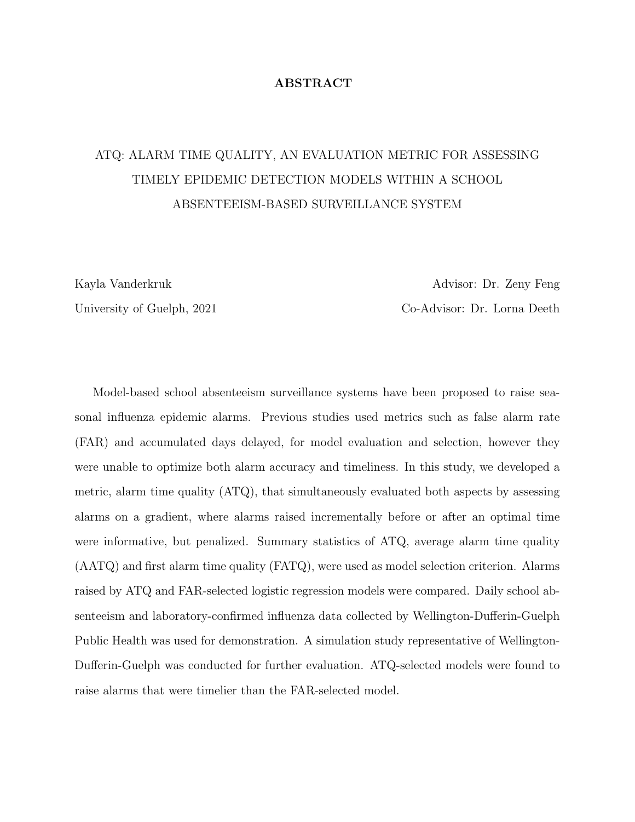#### ABSTRACT

## ATQ: ALARM TIME QUALITY, AN EVALUATION METRIC FOR ASSESSING TIMELY EPIDEMIC DETECTION MODELS WITHIN A SCHOOL ABSENTEEISM-BASED SURVEILLANCE SYSTEM

Kayla Vanderkruk **Advisor: Dr. Zeny Feng** University of Guelph, 2021 Co-Advisor: Dr. Lorna Deeth

Model-based school absenteeism surveillance systems have been proposed to raise seasonal influenza epidemic alarms. Previous studies used metrics such as false alarm rate (FAR) and accumulated days delayed, for model evaluation and selection, however they were unable to optimize both alarm accuracy and timeliness. In this study, we developed a metric, alarm time quality (ATQ), that simultaneously evaluated both aspects by assessing alarms on a gradient, where alarms raised incrementally before or after an optimal time were informative, but penalized. Summary statistics of ATQ, average alarm time quality (AATQ) and first alarm time quality (FATQ), were used as model selection criterion. Alarms raised by ATQ and FAR-selected logistic regression models were compared. Daily school absenteeism and laboratory-confirmed influenza data collected by Wellington-Dufferin-Guelph Public Health was used for demonstration. A simulation study representative of Wellington-Dufferin-Guelph was conducted for further evaluation. ATQ-selected models were found to raise alarms that were timelier than the FAR-selected model.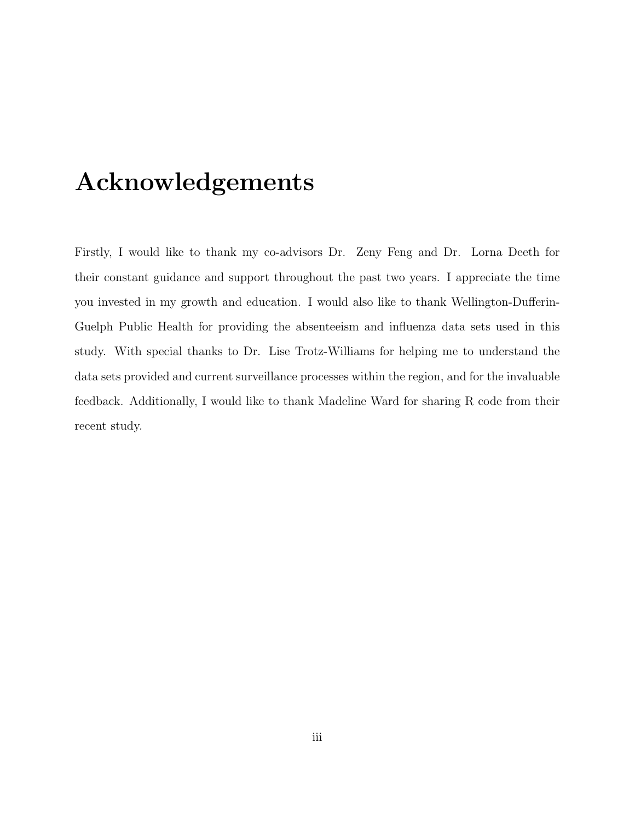## <span id="page-2-0"></span>Acknowledgements

Firstly, I would like to thank my co-advisors Dr. Zeny Feng and Dr. Lorna Deeth for their constant guidance and support throughout the past two years. I appreciate the time you invested in my growth and education. I would also like to thank Wellington-Dufferin-Guelph Public Health for providing the absenteeism and influenza data sets used in this study. With special thanks to Dr. Lise Trotz-Williams for helping me to understand the data sets provided and current surveillance processes within the region, and for the invaluable feedback. Additionally, I would like to thank Madeline Ward for sharing R code from their recent study.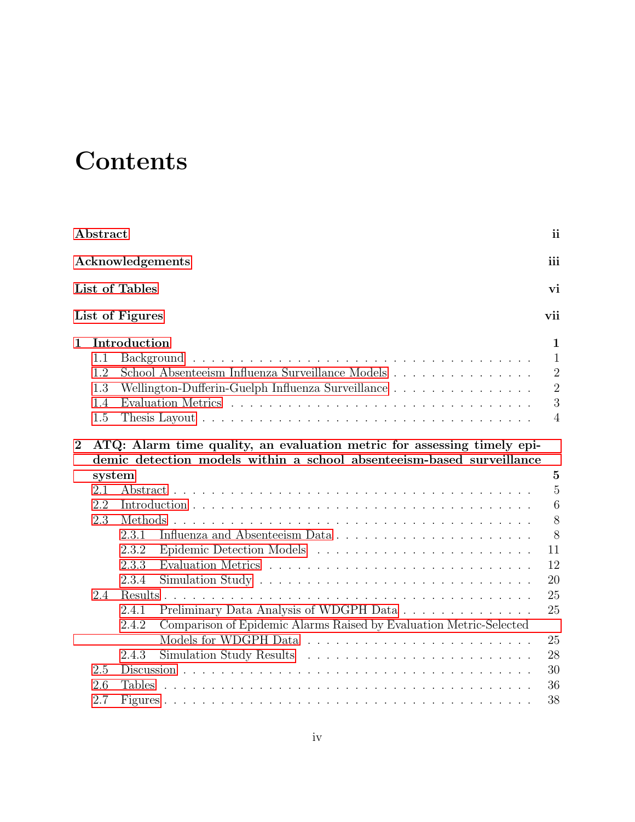# **Contents**

| Abstract       |                                 |                                                                                                                                                  |                                                                                         |  |  |  |  |  |
|----------------|---------------------------------|--------------------------------------------------------------------------------------------------------------------------------------------------|-----------------------------------------------------------------------------------------|--|--|--|--|--|
|                |                                 | Acknowledgements                                                                                                                                 | iii                                                                                     |  |  |  |  |  |
|                |                                 | <b>List of Tables</b>                                                                                                                            | vi                                                                                      |  |  |  |  |  |
|                |                                 | List of Figures                                                                                                                                  | vii                                                                                     |  |  |  |  |  |
| $\mathbf 1$    | 1.1<br>1.2<br>1.3<br>1.4<br>1.5 | Introduction<br>School Absenteeism Influenza Surveillance Models<br>Wellington-Dufferin-Guelph Influenza Surveillance                            | $\mathbf{1}$<br>$\mathbf{1}$<br>$\overline{2}$<br>$\overline{2}$<br>3<br>$\overline{4}$ |  |  |  |  |  |
| $\overline{2}$ |                                 | ATQ: Alarm time quality, an evaluation metric for assessing timely epi-<br>demic detection models within a school absenteeism-based surveillance |                                                                                         |  |  |  |  |  |
|                | system                          |                                                                                                                                                  | $\overline{5}$                                                                          |  |  |  |  |  |
|                | 2.1                             |                                                                                                                                                  | $\overline{5}$                                                                          |  |  |  |  |  |
|                | 2.2                             |                                                                                                                                                  | $\,6\,$                                                                                 |  |  |  |  |  |
|                | 2.3                             |                                                                                                                                                  | 8                                                                                       |  |  |  |  |  |
|                |                                 | 2.3.1                                                                                                                                            | 8                                                                                       |  |  |  |  |  |
|                |                                 | 2.3.2                                                                                                                                            | 11                                                                                      |  |  |  |  |  |
|                |                                 | 2.3.3                                                                                                                                            | 12                                                                                      |  |  |  |  |  |
|                |                                 | 2.3.4                                                                                                                                            | 20                                                                                      |  |  |  |  |  |
|                | 2.4                             | Results.                                                                                                                                         | 25                                                                                      |  |  |  |  |  |
|                |                                 | Preliminary Data Analysis of WDGPH Data<br>2.4.1                                                                                                 | 25                                                                                      |  |  |  |  |  |
|                |                                 | Comparison of Epidemic Alarms Raised by Evaluation Metric-Selected<br>2.4.2                                                                      |                                                                                         |  |  |  |  |  |
|                |                                 |                                                                                                                                                  | 25                                                                                      |  |  |  |  |  |
|                |                                 | 2.4.3                                                                                                                                            | 28                                                                                      |  |  |  |  |  |
|                | 2.5                             |                                                                                                                                                  | 30                                                                                      |  |  |  |  |  |
|                | 2.6                             | <b>Tables</b>                                                                                                                                    | 36                                                                                      |  |  |  |  |  |
|                | 2.7                             |                                                                                                                                                  | 38                                                                                      |  |  |  |  |  |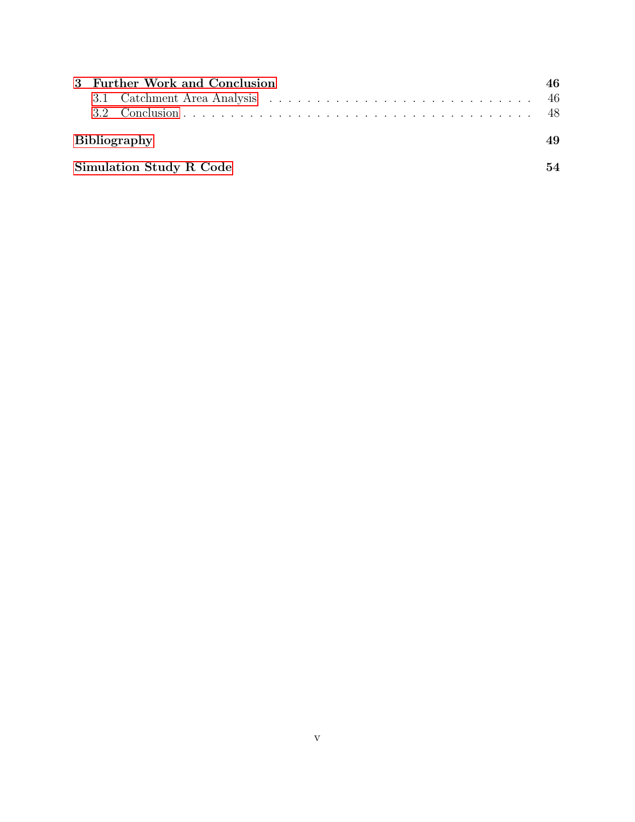|                                | 3 Further Work and Conclusion |                     |    |  |  |  |  |
|--------------------------------|-------------------------------|---------------------|----|--|--|--|--|
|                                |                               |                     |    |  |  |  |  |
|                                |                               |                     |    |  |  |  |  |
|                                |                               | <b>Bibliography</b> | 49 |  |  |  |  |
| <b>Simulation Study R Code</b> |                               |                     |    |  |  |  |  |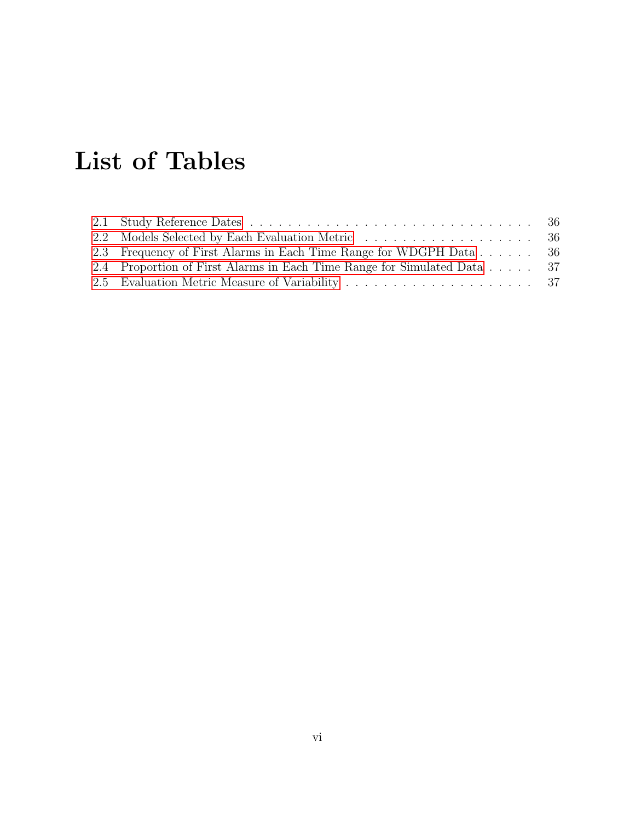# <span id="page-5-0"></span>List of Tables

| 2.3 Frequency of First Alarms in Each Time Range for WDGPH Data 36      |  |
|-------------------------------------------------------------------------|--|
| 2.4 Proportion of First Alarms in Each Time Range for Simulated Data 37 |  |
|                                                                         |  |
|                                                                         |  |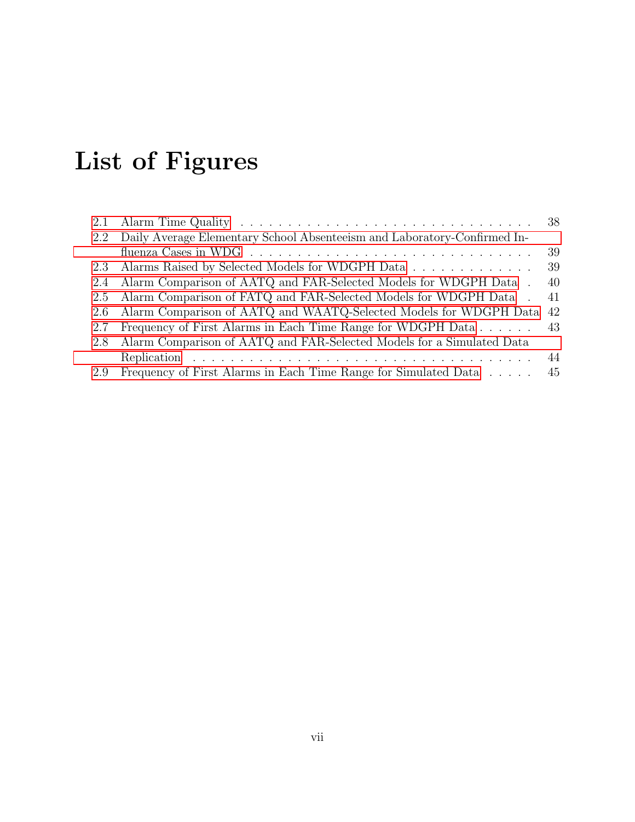# <span id="page-6-0"></span>List of Figures

| 2.1 |                                                                                                     |    |
|-----|-----------------------------------------------------------------------------------------------------|----|
| 2.2 | Daily Average Elementary School Absenteeism and Laboratory-Confirmed In-                            |    |
|     | fluenza Cases in WDG $\ldots \ldots \ldots \ldots \ldots \ldots \ldots \ldots \ldots \ldots \ldots$ | 39 |
| 2.3 | Alarms Raised by Selected Models for WDGPH Data                                                     | 39 |
| 2.4 | Alarm Comparison of AATQ and FAR-Selected Models for WDGPH Data.                                    | 40 |
| 2.5 | Alarm Comparison of FATQ and FAR-Selected Models for WDGPH Data.                                    | 41 |
| 2.6 | Alarm Comparison of AATQ and WAATQ-Selected Models for WDGPH Data 42                                |    |
| 2.7 | Frequency of First Alarms in Each Time Range for WDGPH Data 43                                      |    |
| 2.8 | Alarm Comparison of AATQ and FAR-Selected Models for a Simulated Data                               |    |
|     |                                                                                                     | 44 |
| 2.9 | Frequency of First Alarms in Each Time Range for Simulated Data                                     | 45 |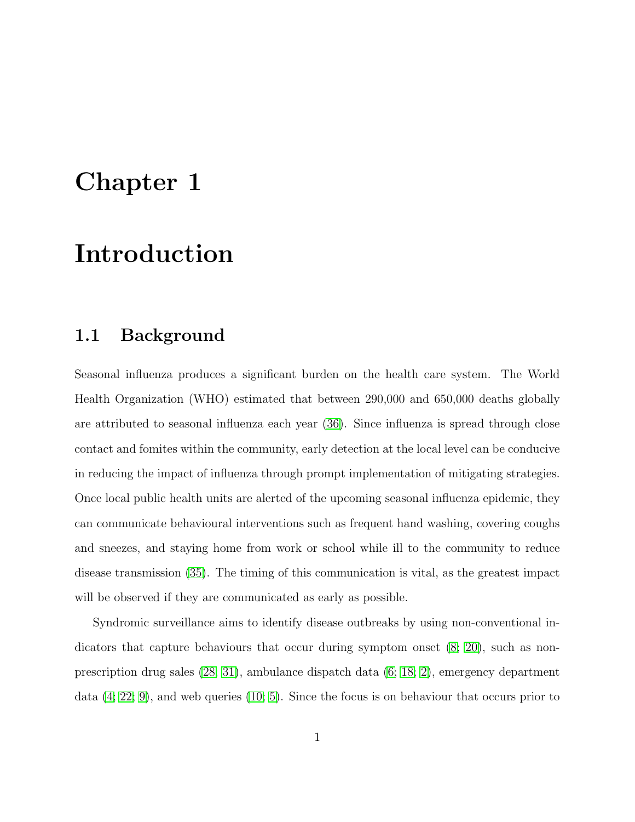## <span id="page-7-0"></span>Chapter 1

## Introduction

### <span id="page-7-1"></span>1.1 Background

Seasonal influenza produces a significant burden on the health care system. The World Health Organization (WHO) estimated that between 290,000 and 650,000 deaths globally are attributed to seasonal influenza each year [\(36\)](#page-59-0). Since influenza is spread through close contact and fomites within the community, early detection at the local level can be conducive in reducing the impact of influenza through prompt implementation of mitigating strategies. Once local public health units are alerted of the upcoming seasonal influenza epidemic, they can communicate behavioural interventions such as frequent hand washing, covering coughs and sneezes, and staying home from work or school while ill to the community to reduce disease transmission [\(35\)](#page-59-1). The timing of this communication is vital, as the greatest impact will be observed if they are communicated as early as possible.

Syndromic surveillance aims to identify disease outbreaks by using non-conventional indicators that capture behaviours that occur during symptom onset [\(8;](#page-56-0) [20\)](#page-57-0), such as nonprescription drug sales [\(28;](#page-58-0) [31\)](#page-59-2), ambulance dispatch data [\(6;](#page-55-0) [18;](#page-57-1) [2\)](#page-55-1), emergency department data [\(4;](#page-55-2) [22;](#page-57-2) [9\)](#page-56-1), and web queries [\(10;](#page-56-2) [5\)](#page-55-3). Since the focus is on behaviour that occurs prior to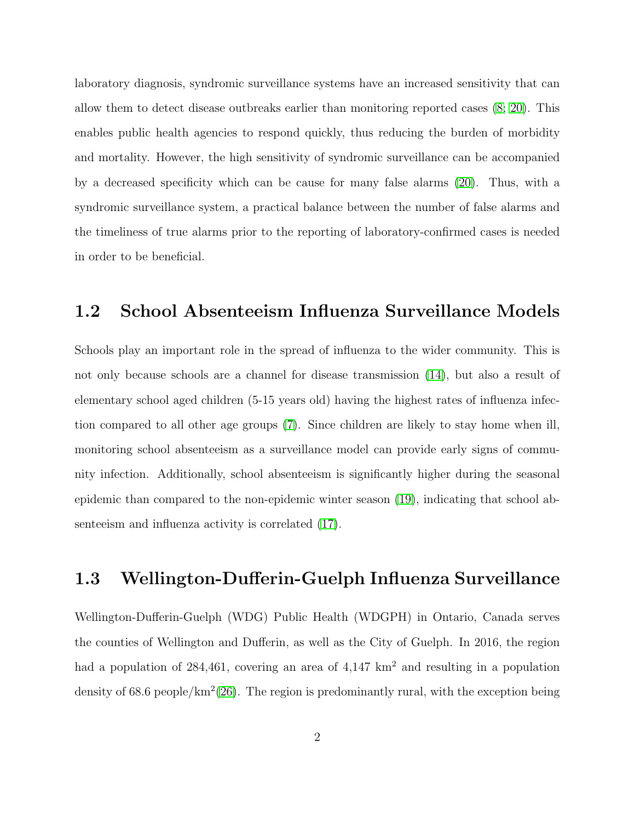laboratory diagnosis, syndromic surveillance systems have an increased sensitivity that can allow them to detect disease outbreaks earlier than monitoring reported cases [\(8;](#page-56-0) [20\)](#page-57-0). This enables public health agencies to respond quickly, thus reducing the burden of morbidity and mortality. However, the high sensitivity of syndromic surveillance can be accompanied by a decreased specificity which can be cause for many false alarms [\(20\)](#page-57-0). Thus, with a syndromic surveillance system, a practical balance between the number of false alarms and the timeliness of true alarms prior to the reporting of laboratory-confirmed cases is needed in order to be beneficial.

### <span id="page-8-0"></span>1.2 School Absenteeism Influenza Surveillance Models

Schools play an important role in the spread of influenza to the wider community. This is not only because schools are a channel for disease transmission [\(14\)](#page-56-3), but also a result of elementary school aged children (5-15 years old) having the highest rates of influenza infection compared to all other age groups [\(7\)](#page-55-4). Since children are likely to stay home when ill, monitoring school absenteeism as a surveillance model can provide early signs of community infection. Additionally, school absenteeism is significantly higher during the seasonal epidemic than compared to the non-epidemic winter season [\(19\)](#page-57-3), indicating that school absenteeism and influenza activity is correlated [\(17\)](#page-57-4).

## <span id="page-8-1"></span>1.3 Wellington-Dufferin-Guelph Influenza Surveillance

Wellington-Dufferin-Guelph (WDG) Public Health (WDGPH) in Ontario, Canada serves the counties of Wellington and Dufferin, as well as the City of Guelph. In 2016, the region had a population of 284,461, covering an area of  $4,147 \text{ km}^2$  and resulting in a population density of 68.6 people/ $\text{km}^2(26)$  $\text{km}^2(26)$ . The region is predominantly rural, with the exception being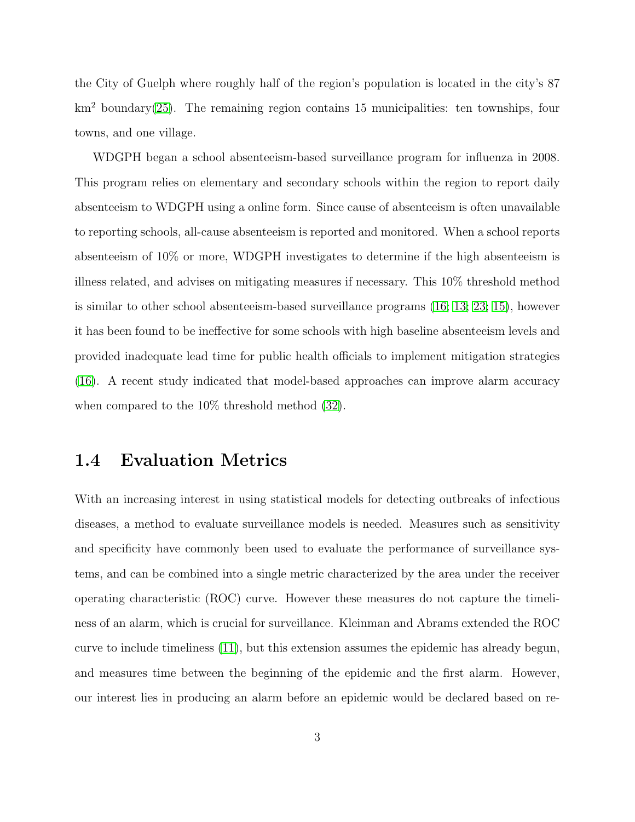the City of Guelph where roughly half of the region's population is located in the city's 87  $km<sup>2</sup> boundary(25)$  $km<sup>2</sup> boundary(25)$ . The remaining region contains 15 municipalities: ten townships, four towns, and one village.

WDGPH began a school absenteeism-based surveillance program for influenza in 2008. This program relies on elementary and secondary schools within the region to report daily absenteeism to WDGPH using a online form. Since cause of absenteeism is often unavailable to reporting schools, all-cause absenteeism is reported and monitored. When a school reports absenteeism of 10% or more, WDGPH investigates to determine if the high absenteeism is illness related, and advises on mitigating measures if necessary. This 10% threshold method is similar to other school absenteeism-based surveillance programs [\(16;](#page-57-5) [13;](#page-56-4) [23;](#page-58-3) [15\)](#page-57-6), however it has been found to be ineffective for some schools with high baseline absenteeism levels and provided inadequate lead time for public health officials to implement mitigation strategies [\(16\)](#page-57-5). A recent study indicated that model-based approaches can improve alarm accuracy when compared to the 10% threshold method [\(32\)](#page-59-3).

### <span id="page-9-0"></span>1.4 Evaluation Metrics

With an increasing interest in using statistical models for detecting outbreaks of infectious diseases, a method to evaluate surveillance models is needed. Measures such as sensitivity and specificity have commonly been used to evaluate the performance of surveillance systems, and can be combined into a single metric characterized by the area under the receiver operating characteristic (ROC) curve. However these measures do not capture the timeliness of an alarm, which is crucial for surveillance. Kleinman and Abrams extended the ROC curve to include timeliness [\(11\)](#page-56-5), but this extension assumes the epidemic has already begun, and measures time between the beginning of the epidemic and the first alarm. However, our interest lies in producing an alarm before an epidemic would be declared based on re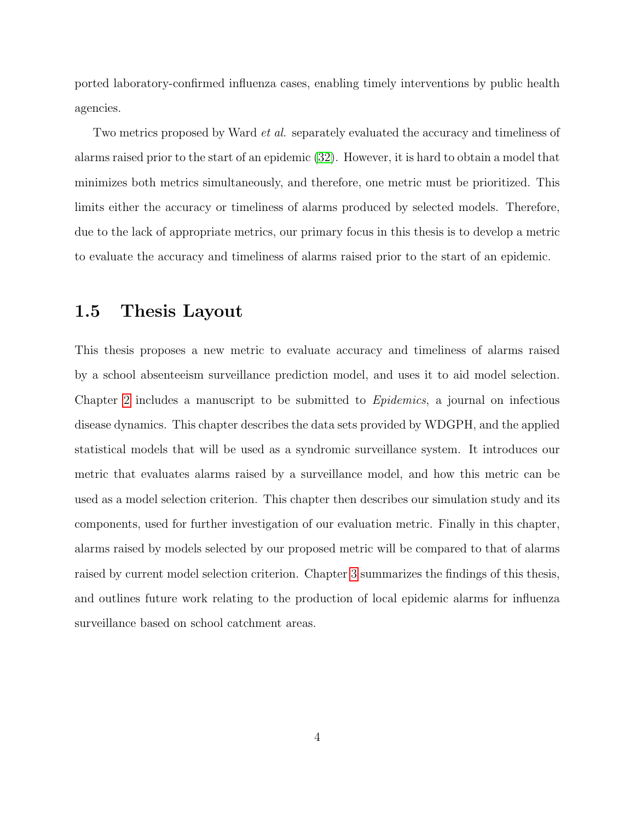ported laboratory-confirmed influenza cases, enabling timely interventions by public health agencies.

Two metrics proposed by Ward *et al.* separately evaluated the accuracy and timeliness of alarms raised prior to the start of an epidemic [\(32\)](#page-59-3). However, it is hard to obtain a model that minimizes both metrics simultaneously, and therefore, one metric must be prioritized. This limits either the accuracy or timeliness of alarms produced by selected models. Therefore, due to the lack of appropriate metrics, our primary focus in this thesis is to develop a metric to evaluate the accuracy and timeliness of alarms raised prior to the start of an epidemic.

### <span id="page-10-0"></span>1.5 Thesis Layout

This thesis proposes a new metric to evaluate accuracy and timeliness of alarms raised by a school absenteeism surveillance prediction model, and uses it to aid model selection. Chapter [2](#page-11-0) includes a manuscript to be submitted to Epidemics, a journal on infectious disease dynamics. This chapter describes the data sets provided by WDGPH, and the applied statistical models that will be used as a syndromic surveillance system. It introduces our metric that evaluates alarms raised by a surveillance model, and how this metric can be used as a model selection criterion. This chapter then describes our simulation study and its components, used for further investigation of our evaluation metric. Finally in this chapter, alarms raised by models selected by our proposed metric will be compared to that of alarms raised by current model selection criterion. Chapter [3](#page-52-0) summarizes the findings of this thesis, and outlines future work relating to the production of local epidemic alarms for influenza surveillance based on school catchment areas.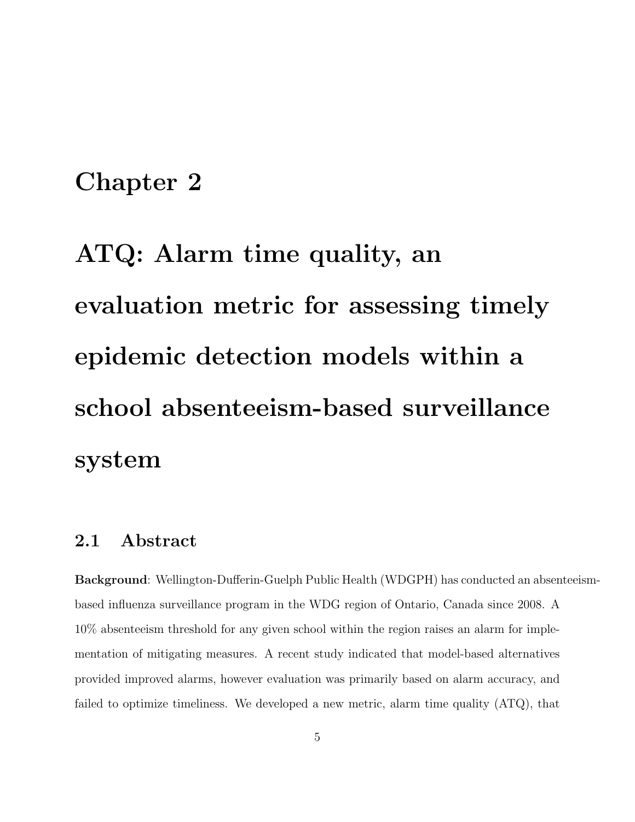## <span id="page-11-0"></span>Chapter 2

ATQ: Alarm time quality, an evaluation metric for assessing timely epidemic detection models within a school absenteeism-based surveillance system

## <span id="page-11-1"></span>2.1 Abstract

Background: Wellington-Dufferin-Guelph Public Health (WDGPH) has conducted an absenteeismbased influenza surveillance program in the WDG region of Ontario, Canada since 2008. A 10% absenteeism threshold for any given school within the region raises an alarm for implementation of mitigating measures. A recent study indicated that model-based alternatives provided improved alarms, however evaluation was primarily based on alarm accuracy, and failed to optimize timeliness. We developed a new metric, alarm time quality (ATQ), that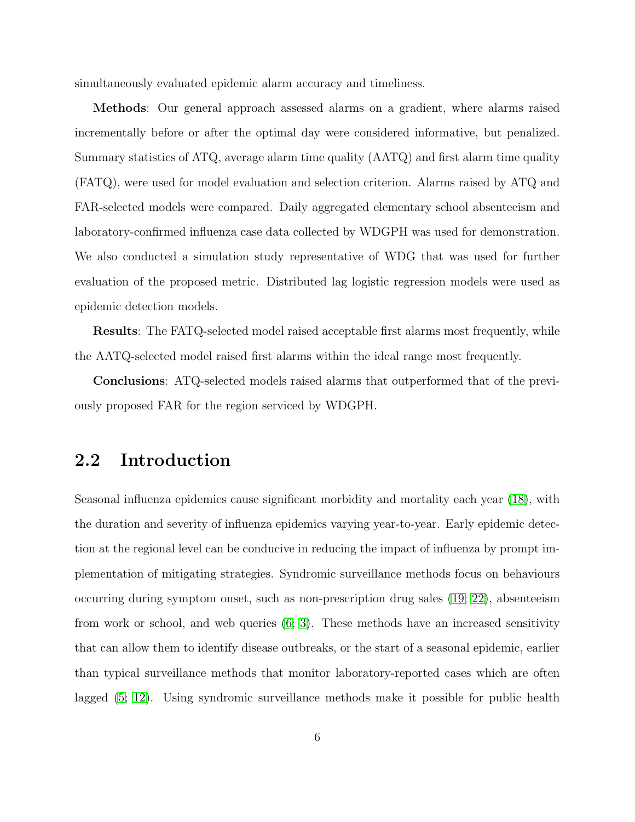simultaneously evaluated epidemic alarm accuracy and timeliness.

Methods: Our general approach assessed alarms on a gradient, where alarms raised incrementally before or after the optimal day were considered informative, but penalized. Summary statistics of ATQ, average alarm time quality (AATQ) and first alarm time quality (FATQ), were used for model evaluation and selection criterion. Alarms raised by ATQ and FAR-selected models were compared. Daily aggregated elementary school absenteeism and laboratory-confirmed influenza case data collected by WDGPH was used for demonstration. We also conducted a simulation study representative of WDG that was used for further evaluation of the proposed metric. Distributed lag logistic regression models were used as epidemic detection models.

Results: The FATQ-selected model raised acceptable first alarms most frequently, while the AATQ-selected model raised first alarms within the ideal range most frequently.

Conclusions: ATQ-selected models raised alarms that outperformed that of the previously proposed FAR for the region serviced by WDGPH.

### <span id="page-12-0"></span>2.2 Introduction

Seasonal influenza epidemics cause significant morbidity and mortality each year [\(18\)](#page-41-0), with the duration and severity of influenza epidemics varying year-to-year. Early epidemic detection at the regional level can be conducive in reducing the impact of influenza by prompt implementation of mitigating strategies. Syndromic surveillance methods focus on behaviours occurring during symptom onset, such as non-prescription drug sales [\(19;](#page-41-1) [22\)](#page-41-2), absenteeism from work or school, and web queries [\(6;](#page-40-0) [3\)](#page-40-1). These methods have an increased sensitivity that can allow them to identify disease outbreaks, or the start of a seasonal epidemic, earlier than typical surveillance methods that monitor laboratory-reported cases which are often lagged [\(5;](#page-40-2) [12\)](#page-40-3). Using syndromic surveillance methods make it possible for public health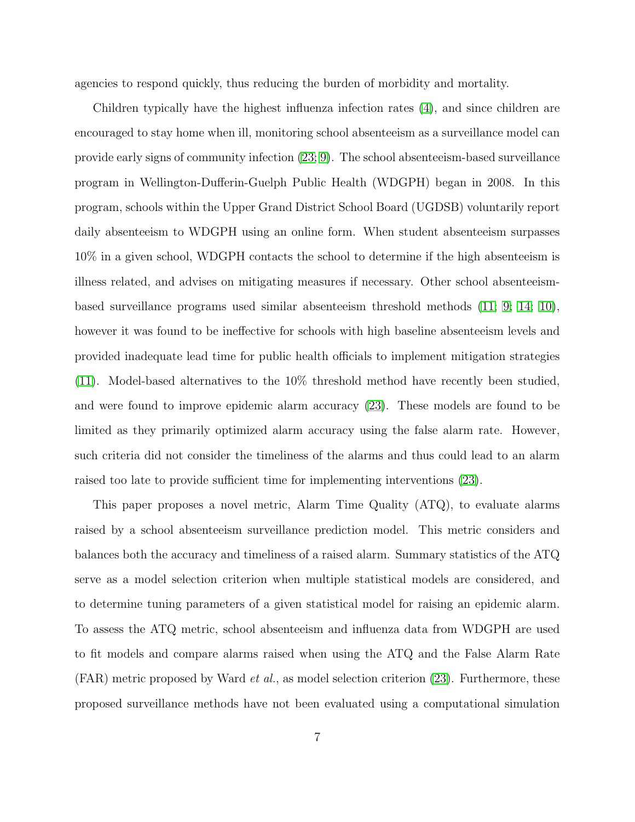agencies to respond quickly, thus reducing the burden of morbidity and mortality.

Children typically have the highest influenza infection rates [\(4\)](#page-40-4), and since children are encouraged to stay home when ill, monitoring school absenteeism as a surveillance model can provide early signs of community infection [\(23;](#page-41-3) [9\)](#page-40-5). The school absenteeism-based surveillance program in Wellington-Dufferin-Guelph Public Health (WDGPH) began in 2008. In this program, schools within the Upper Grand District School Board (UGDSB) voluntarily report daily absenteeism to WDGPH using an online form. When student absenteeism surpasses 10% in a given school, WDGPH contacts the school to determine if the high absenteeism is illness related, and advises on mitigating measures if necessary. Other school absenteeismbased surveillance programs used similar absenteeism threshold methods [\(11;](#page-40-6) [9;](#page-40-5) [14;](#page-40-7) [10\)](#page-40-8), however it was found to be ineffective for schools with high baseline absenteeism levels and provided inadequate lead time for public health officials to implement mitigation strategies [\(11\)](#page-40-6). Model-based alternatives to the 10% threshold method have recently been studied, and were found to improve epidemic alarm accuracy [\(23\)](#page-41-3). These models are found to be limited as they primarily optimized alarm accuracy using the false alarm rate. However, such criteria did not consider the timeliness of the alarms and thus could lead to an alarm raised too late to provide sufficient time for implementing interventions [\(23\)](#page-41-3).

This paper proposes a novel metric, Alarm Time Quality (ATQ), to evaluate alarms raised by a school absenteeism surveillance prediction model. This metric considers and balances both the accuracy and timeliness of a raised alarm. Summary statistics of the ATQ serve as a model selection criterion when multiple statistical models are considered, and to determine tuning parameters of a given statistical model for raising an epidemic alarm. To assess the ATQ metric, school absenteeism and influenza data from WDGPH are used to fit models and compare alarms raised when using the ATQ and the False Alarm Rate  $(FAR)$  metric proposed by Ward *et al.*, as model selection criterion  $(23)$ . Furthermore, these proposed surveillance methods have not been evaluated using a computational simulation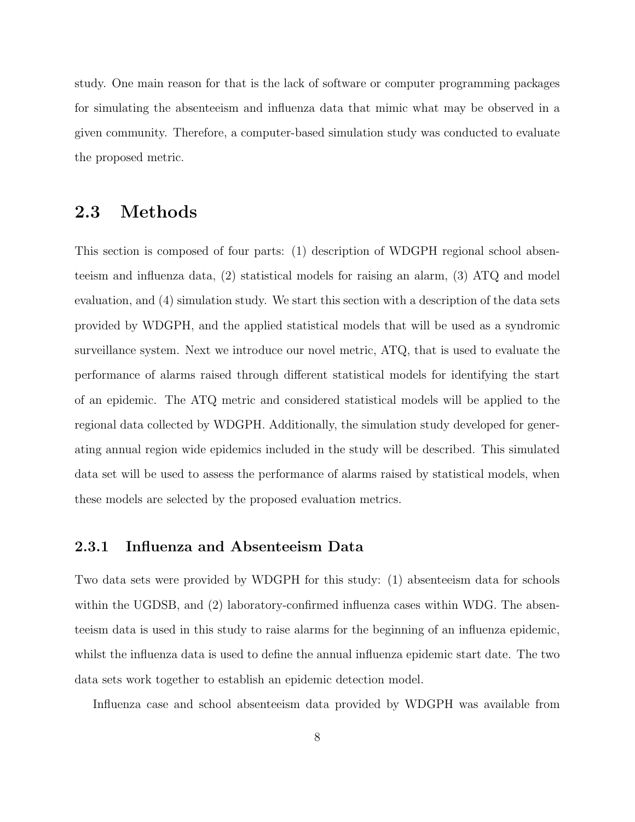study. One main reason for that is the lack of software or computer programming packages for simulating the absenteeism and influenza data that mimic what may be observed in a given community. Therefore, a computer-based simulation study was conducted to evaluate the proposed metric.

### <span id="page-14-0"></span>2.3 Methods

This section is composed of four parts: (1) description of WDGPH regional school absenteeism and influenza data, (2) statistical models for raising an alarm, (3) ATQ and model evaluation, and (4) simulation study. We start this section with a description of the data sets provided by WDGPH, and the applied statistical models that will be used as a syndromic surveillance system. Next we introduce our novel metric, ATQ, that is used to evaluate the performance of alarms raised through different statistical models for identifying the start of an epidemic. The ATQ metric and considered statistical models will be applied to the regional data collected by WDGPH. Additionally, the simulation study developed for generating annual region wide epidemics included in the study will be described. This simulated data set will be used to assess the performance of alarms raised by statistical models, when these models are selected by the proposed evaluation metrics.

#### <span id="page-14-1"></span>2.3.1 Influenza and Absenteeism Data

Two data sets were provided by WDGPH for this study: (1) absenteeism data for schools within the UGDSB, and (2) laboratory-confirmed influenza cases within WDG. The absenteeism data is used in this study to raise alarms for the beginning of an influenza epidemic, whilst the influenza data is used to define the annual influenza epidemic start date. The two data sets work together to establish an epidemic detection model.

Influenza case and school absenteeism data provided by WDGPH was available from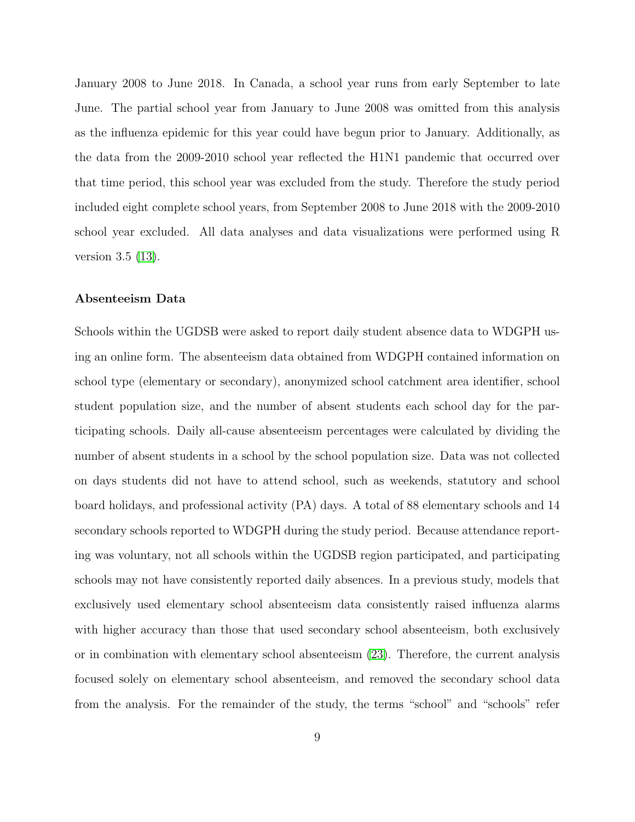January 2008 to June 2018. In Canada, a school year runs from early September to late June. The partial school year from January to June 2008 was omitted from this analysis as the influenza epidemic for this year could have begun prior to January. Additionally, as the data from the 2009-2010 school year reflected the H1N1 pandemic that occurred over that time period, this school year was excluded from the study. Therefore the study period included eight complete school years, from September 2008 to June 2018 with the 2009-2010 school year excluded. All data analyses and data visualizations were performed using R version 3.5 [\(13\)](#page-40-9).

#### <span id="page-15-0"></span>Absenteeism Data

Schools within the UGDSB were asked to report daily student absence data to WDGPH using an online form. The absenteeism data obtained from WDGPH contained information on school type (elementary or secondary), anonymized school catchment area identifier, school student population size, and the number of absent students each school day for the participating schools. Daily all-cause absenteeism percentages were calculated by dividing the number of absent students in a school by the school population size. Data was not collected on days students did not have to attend school, such as weekends, statutory and school board holidays, and professional activity (PA) days. A total of 88 elementary schools and 14 secondary schools reported to WDGPH during the study period. Because attendance reporting was voluntary, not all schools within the UGDSB region participated, and participating schools may not have consistently reported daily absences. In a previous study, models that exclusively used elementary school absenteeism data consistently raised influenza alarms with higher accuracy than those that used secondary school absenteeism, both exclusively or in combination with elementary school absenteeism [\(23\)](#page-41-3). Therefore, the current analysis focused solely on elementary school absenteeism, and removed the secondary school data from the analysis. For the remainder of the study, the terms "school" and "schools" refer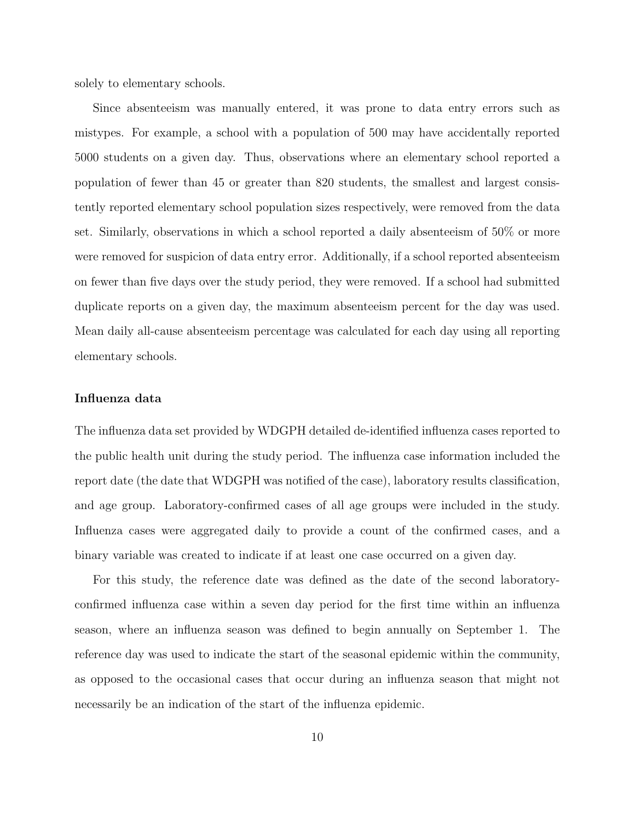solely to elementary schools.

Since absenteeism was manually entered, it was prone to data entry errors such as mistypes. For example, a school with a population of 500 may have accidentally reported 5000 students on a given day. Thus, observations where an elementary school reported a population of fewer than 45 or greater than 820 students, the smallest and largest consistently reported elementary school population sizes respectively, were removed from the data set. Similarly, observations in which a school reported a daily absenteeism of 50% or more were removed for suspicion of data entry error. Additionally, if a school reported absenteeism on fewer than five days over the study period, they were removed. If a school had submitted duplicate reports on a given day, the maximum absenteeism percent for the day was used. Mean daily all-cause absenteeism percentage was calculated for each day using all reporting elementary schools.

#### <span id="page-16-0"></span>Influenza data

The influenza data set provided by WDGPH detailed de-identified influenza cases reported to the public health unit during the study period. The influenza case information included the report date (the date that WDGPH was notified of the case), laboratory results classification, and age group. Laboratory-confirmed cases of all age groups were included in the study. Influenza cases were aggregated daily to provide a count of the confirmed cases, and a binary variable was created to indicate if at least one case occurred on a given day.

For this study, the reference date was defined as the date of the second laboratoryconfirmed influenza case within a seven day period for the first time within an influenza season, where an influenza season was defined to begin annually on September 1. The reference day was used to indicate the start of the seasonal epidemic within the community, as opposed to the occasional cases that occur during an influenza season that might not necessarily be an indication of the start of the influenza epidemic.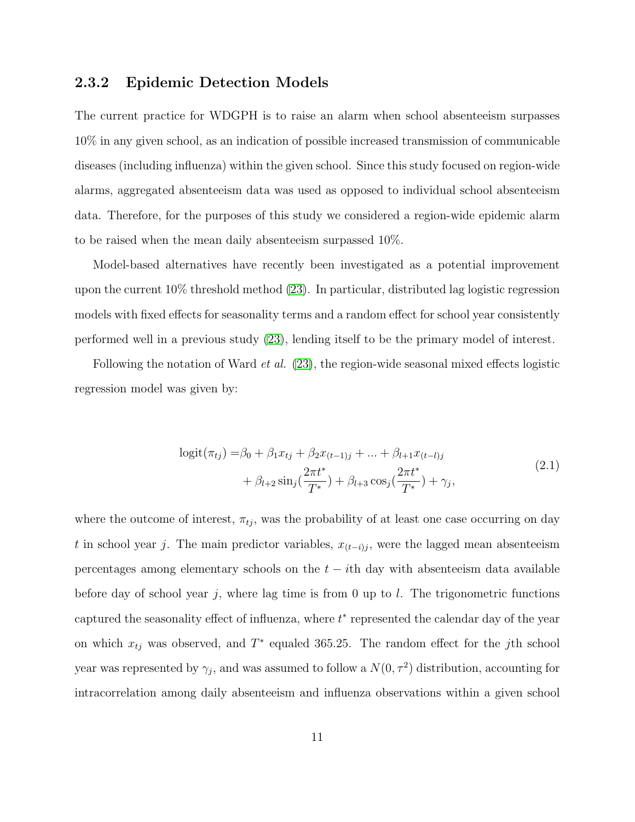#### <span id="page-17-0"></span>2.3.2 Epidemic Detection Models

The current practice for WDGPH is to raise an alarm when school absenteeism surpasses 10% in any given school, as an indication of possible increased transmission of communicable diseases (including influenza) within the given school. Since this study focused on region-wide alarms, aggregated absenteeism data was used as opposed to individual school absenteeism data. Therefore, for the purposes of this study we considered a region-wide epidemic alarm to be raised when the mean daily absenteeism surpassed 10%.

Model-based alternatives have recently been investigated as a potential improvement upon the current 10% threshold method [\(23\)](#page-41-3). In particular, distributed lag logistic regression models with fixed effects for seasonality terms and a random effect for school year consistently performed well in a previous study [\(23\)](#page-41-3), lending itself to be the primary model of interest.

Following the notation of Ward *et al.*  $(23)$ , the region-wide seasonal mixed effects logistic regression model was given by:

$$
logit(\pi_{tj}) = \beta_0 + \beta_1 x_{tj} + \beta_2 x_{(t-1)j} + \dots + \beta_{l+1} x_{(t-l)j} + \beta_{l+2} \sin_j(\frac{2\pi t^*}{T^*}) + \beta_{l+3} \cos_j(\frac{2\pi t^*}{T^*}) + \gamma_j,
$$
\n(2.1)

where the outcome of interest,  $\pi_{tj}$ , was the probability of at least one case occurring on day t in school year j. The main predictor variables,  $x_{(t-i)j}$ , were the lagged mean absenteeism percentages among elementary schools on the  $t - i$ th day with absenteeism data available before day of school year j, where lag time is from 0 up to l. The trigonometric functions captured the seasonality effect of influenza, where  $t^*$  represented the calendar day of the year on which  $x_{tj}$  was observed, and  $T^*$  equaled 365.25. The random effect for the jth school year was represented by  $\gamma_j$ , and was assumed to follow a  $N(0, \tau^2)$  distribution, accounting for intracorrelation among daily absenteeism and influenza observations within a given school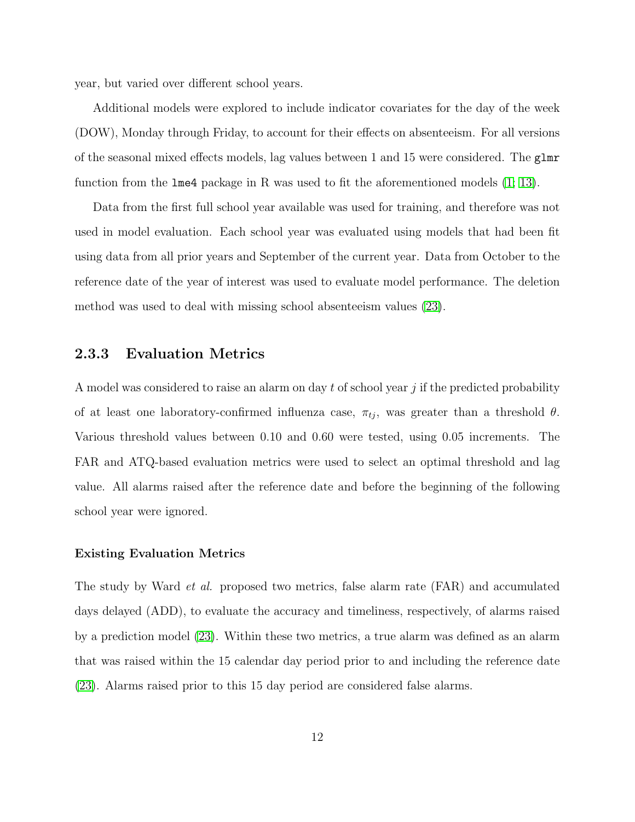year, but varied over different school years.

Additional models were explored to include indicator covariates for the day of the week (DOW), Monday through Friday, to account for their effects on absenteeism. For all versions of the seasonal mixed effects models, lag values between 1 and 15 were considered. The glmr function from the lme4 package in R was used to fit the aforementioned models [\(1;](#page-39-0) [13\)](#page-40-9).

Data from the first full school year available was used for training, and therefore was not used in model evaluation. Each school year was evaluated using models that had been fit using data from all prior years and September of the current year. Data from October to the reference date of the year of interest was used to evaluate model performance. The deletion method was used to deal with missing school absenteeism values [\(23\)](#page-41-3).

#### <span id="page-18-0"></span>2.3.3 Evaluation Metrics

A model was considered to raise an alarm on day t of school year j if the predicted probability of at least one laboratory-confirmed influenza case,  $\pi_{tj}$ , was greater than a threshold  $\theta$ . Various threshold values between 0.10 and 0.60 were tested, using 0.05 increments. The FAR and ATQ-based evaluation metrics were used to select an optimal threshold and lag value. All alarms raised after the reference date and before the beginning of the following school year were ignored.

#### Existing Evaluation Metrics

The study by Ward *et al.* proposed two metrics, false alarm rate (FAR) and accumulated days delayed (ADD), to evaluate the accuracy and timeliness, respectively, of alarms raised by a prediction model [\(23\)](#page-41-3). Within these two metrics, a true alarm was defined as an alarm that was raised within the 15 calendar day period prior to and including the reference date [\(23\)](#page-41-3). Alarms raised prior to this 15 day period are considered false alarms.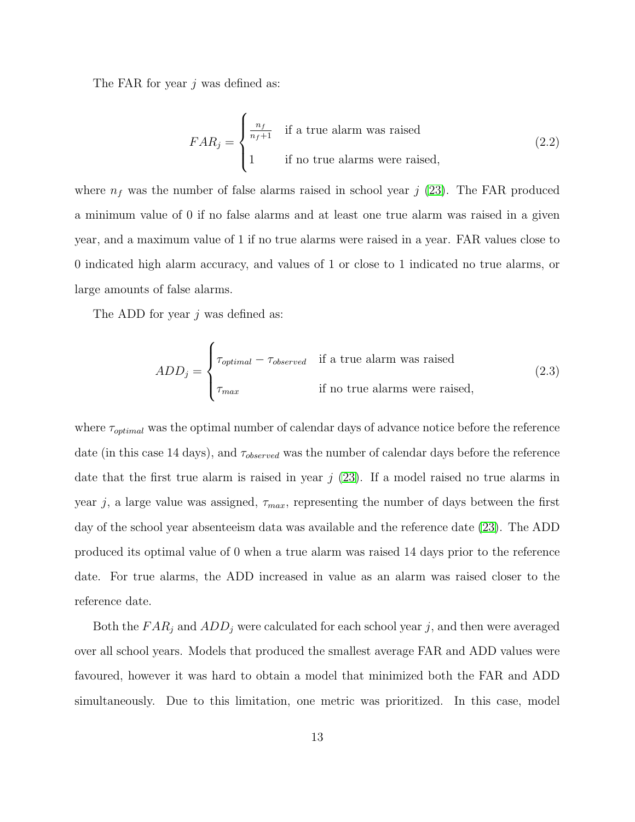The FAR for year j was defined as:

$$
FAR_j = \begin{cases} \frac{n_f}{n_f+1} & \text{if a true alarm was raised} \\ 1 & \text{if no true alarms were raised,} \end{cases}
$$
 (2.2)

where  $n_f$  was the number of false alarms raised in school year j [\(23\)](#page-41-3). The FAR produced a minimum value of 0 if no false alarms and at least one true alarm was raised in a given year, and a maximum value of 1 if no true alarms were raised in a year. FAR values close to 0 indicated high alarm accuracy, and values of 1 or close to 1 indicated no true alarms, or large amounts of false alarms.

The ADD for year *j* was defined as:

$$
ADD_j = \begin{cases} \tau_{optimal} - \tau_{observed} & \text{if a true alarm was raised} \\ \tau_{max} & \text{if no true alarms were raised,} \end{cases}
$$
 (2.3)

where  $\tau_{optimal}$  was the optimal number of calendar days of advance notice before the reference date (in this case 14 days), and  $\tau_{observed}$  was the number of calendar days before the reference date that the first true alarm is raised in year  $j$  [\(23\)](#page-41-3). If a model raised no true alarms in year j, a large value was assigned,  $\tau_{max}$ , representing the number of days between the first day of the school year absenteeism data was available and the reference date [\(23\)](#page-41-3). The ADD produced its optimal value of 0 when a true alarm was raised 14 days prior to the reference date. For true alarms, the ADD increased in value as an alarm was raised closer to the reference date.

Both the  $FAR_j$  and  $ADD_j$  were calculated for each school year j, and then were averaged over all school years. Models that produced the smallest average FAR and ADD values were favoured, however it was hard to obtain a model that minimized both the FAR and ADD simultaneously. Due to this limitation, one metric was prioritized. In this case, model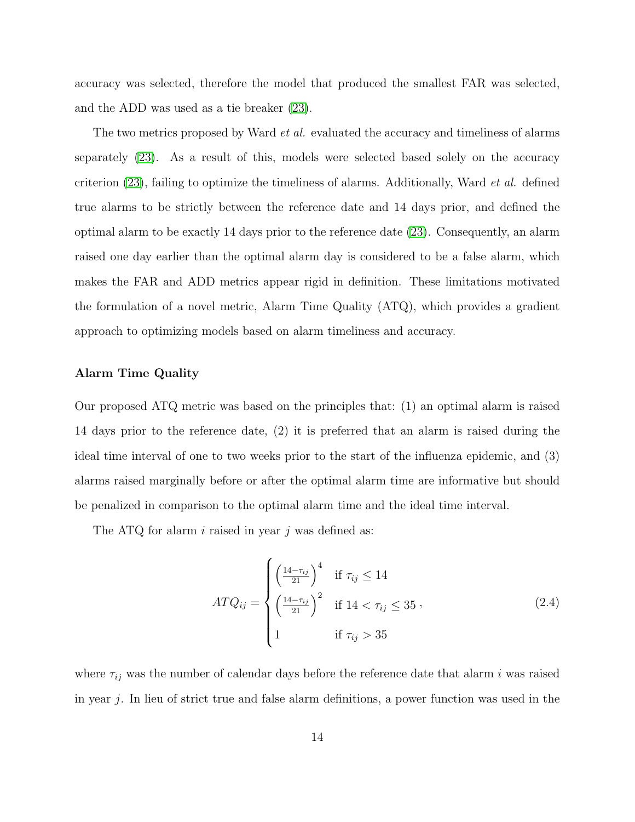accuracy was selected, therefore the model that produced the smallest FAR was selected, and the ADD was used as a tie breaker [\(23\)](#page-41-3).

The two metrics proposed by Ward *et al.* evaluated the accuracy and timeliness of alarms separately [\(23\)](#page-41-3). As a result of this, models were selected based solely on the accuracy criterion [\(23\)](#page-41-3), failing to optimize the timeliness of alarms. Additionally, Ward et al. defined true alarms to be strictly between the reference date and 14 days prior, and defined the optimal alarm to be exactly 14 days prior to the reference date [\(23\)](#page-41-3). Consequently, an alarm raised one day earlier than the optimal alarm day is considered to be a false alarm, which makes the FAR and ADD metrics appear rigid in definition. These limitations motivated the formulation of a novel metric, Alarm Time Quality (ATQ), which provides a gradient approach to optimizing models based on alarm timeliness and accuracy.

#### Alarm Time Quality

Our proposed ATQ metric was based on the principles that: (1) an optimal alarm is raised 14 days prior to the reference date, (2) it is preferred that an alarm is raised during the ideal time interval of one to two weeks prior to the start of the influenza epidemic, and (3) alarms raised marginally before or after the optimal alarm time are informative but should be penalized in comparison to the optimal alarm time and the ideal time interval.

The ATQ for alarm  $i$  raised in year  $j$  was defined as:

<span id="page-20-0"></span>
$$
ATQ_{ij} = \begin{cases} \left(\frac{14 - \tau_{ij}}{21}\right)^4 & \text{if } \tau_{ij} \le 14\\ \left(\frac{14 - \tau_{ij}}{21}\right)^2 & \text{if } 14 < \tau_{ij} \le 35\\ 1 & \text{if } \tau_{ij} > 35 \end{cases}
$$
 (2.4)

where  $\tau_{ij}$  was the number of calendar days before the reference date that alarm i was raised in year j. In lieu of strict true and false alarm definitions, a power function was used in the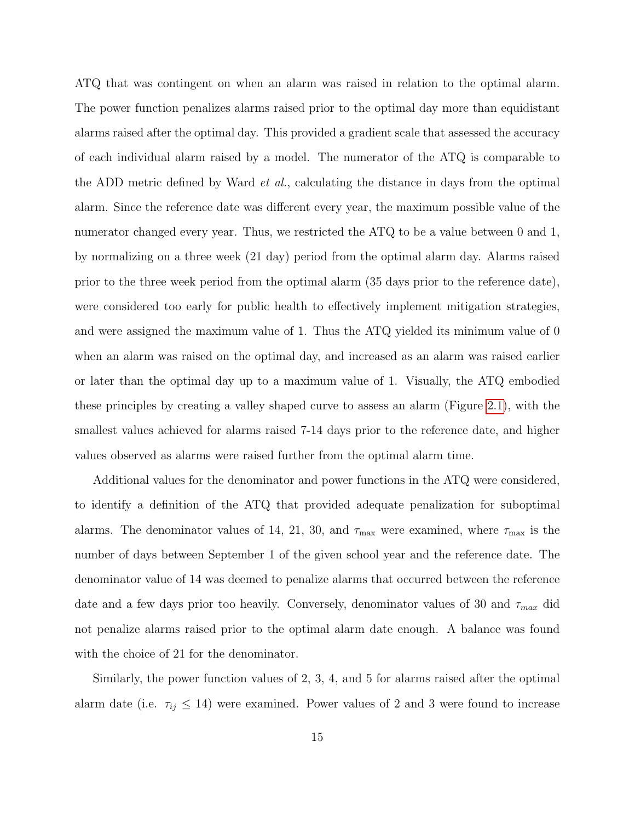ATQ that was contingent on when an alarm was raised in relation to the optimal alarm. The power function penalizes alarms raised prior to the optimal day more than equidistant alarms raised after the optimal day. This provided a gradient scale that assessed the accuracy of each individual alarm raised by a model. The numerator of the ATQ is comparable to the ADD metric defined by Ward et al., calculating the distance in days from the optimal alarm. Since the reference date was different every year, the maximum possible value of the numerator changed every year. Thus, we restricted the ATQ to be a value between 0 and 1, by normalizing on a three week (21 day) period from the optimal alarm day. Alarms raised prior to the three week period from the optimal alarm (35 days prior to the reference date), were considered too early for public health to effectively implement mitigation strategies, and were assigned the maximum value of 1. Thus the ATQ yielded its minimum value of 0 when an alarm was raised on the optimal day, and increased as an alarm was raised earlier or later than the optimal day up to a maximum value of 1. Visually, the ATQ embodied these principles by creating a valley shaped curve to assess an alarm (Figure [2.1\)](#page-44-1), with the smallest values achieved for alarms raised 7-14 days prior to the reference date, and higher values observed as alarms were raised further from the optimal alarm time.

Additional values for the denominator and power functions in the ATQ were considered, to identify a definition of the ATQ that provided adequate penalization for suboptimal alarms. The denominator values of 14, 21, 30, and  $\tau_{\text{max}}$  were examined, where  $\tau_{\text{max}}$  is the number of days between September 1 of the given school year and the reference date. The denominator value of 14 was deemed to penalize alarms that occurred between the reference date and a few days prior too heavily. Conversely, denominator values of 30 and  $\tau_{max}$  did not penalize alarms raised prior to the optimal alarm date enough. A balance was found with the choice of 21 for the denominator.

Similarly, the power function values of 2, 3, 4, and 5 for alarms raised after the optimal alarm date (i.e.  $\tau_{ij} \leq 14$ ) were examined. Power values of 2 and 3 were found to increase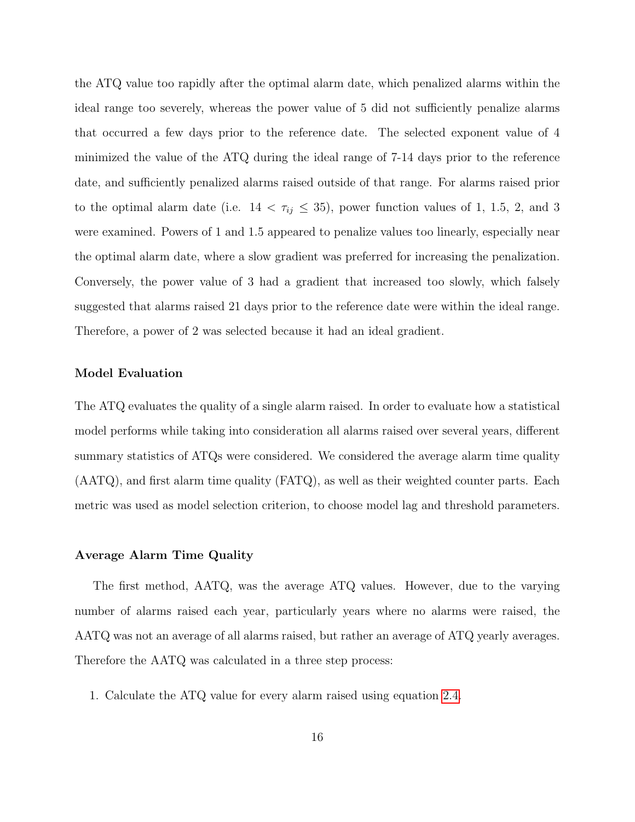the ATQ value too rapidly after the optimal alarm date, which penalized alarms within the ideal range too severely, whereas the power value of 5 did not sufficiently penalize alarms that occurred a few days prior to the reference date. The selected exponent value of 4 minimized the value of the ATQ during the ideal range of 7-14 days prior to the reference date, and sufficiently penalized alarms raised outside of that range. For alarms raised prior to the optimal alarm date (i.e.  $14 < \tau_{ij} \leq 35$ ), power function values of 1, 1.5, 2, and 3 were examined. Powers of 1 and 1.5 appeared to penalize values too linearly, especially near the optimal alarm date, where a slow gradient was preferred for increasing the penalization. Conversely, the power value of 3 had a gradient that increased too slowly, which falsely suggested that alarms raised 21 days prior to the reference date were within the ideal range. Therefore, a power of 2 was selected because it had an ideal gradient.

#### <span id="page-22-0"></span>Model Evaluation

The ATQ evaluates the quality of a single alarm raised. In order to evaluate how a statistical model performs while taking into consideration all alarms raised over several years, different summary statistics of ATQs were considered. We considered the average alarm time quality (AATQ), and first alarm time quality (FATQ), as well as their weighted counter parts. Each metric was used as model selection criterion, to choose model lag and threshold parameters.

#### Average Alarm Time Quality

The first method, AATQ, was the average ATQ values. However, due to the varying number of alarms raised each year, particularly years where no alarms were raised, the AATQ was not an average of all alarms raised, but rather an average of ATQ yearly averages. Therefore the AATQ was calculated in a three step process:

1. Calculate the ATQ value for every alarm raised using equation [2.4.](#page-20-0)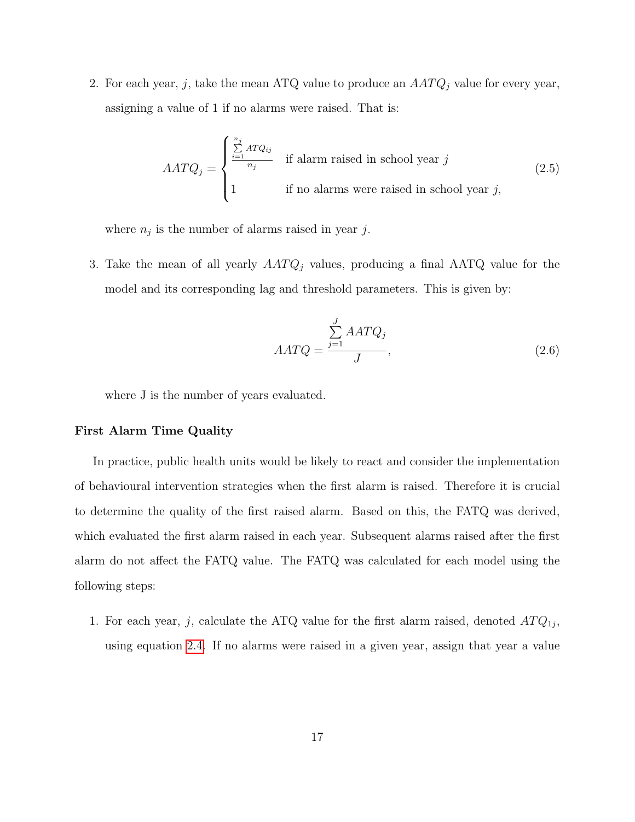2. For each year, j, take the mean ATQ value to produce an  $AATQ_j$  value for every year, assigning a value of 1 if no alarms were raised. That is:

$$
AATQ_j = \begin{cases} \sum_{i=1}^{n_j} ATQ_{ij} & \text{if alarm raised in school year } j\\ 1 & \text{if no alarms were raised in school year } j, \end{cases}
$$
 (2.5)

where  $n_j$  is the number of alarms raised in year j.

3. Take the mean of all yearly  $AATQ_j$  values, producing a final  $AATQ$  value for the model and its corresponding lag and threshold parameters. This is given by:

$$
AATQ = \frac{\sum_{j=1}^{J} AATQ_j}{J},
$$
\n(2.6)

where J is the number of years evaluated.

#### First Alarm Time Quality

In practice, public health units would be likely to react and consider the implementation of behavioural intervention strategies when the first alarm is raised. Therefore it is crucial to determine the quality of the first raised alarm. Based on this, the FATQ was derived, which evaluated the first alarm raised in each year. Subsequent alarms raised after the first alarm do not affect the FATQ value. The FATQ was calculated for each model using the following steps:

1. For each year, j, calculate the ATQ value for the first alarm raised, denoted  $ATQ_{1j}$ , using equation [2.4.](#page-20-0) If no alarms were raised in a given year, assign that year a value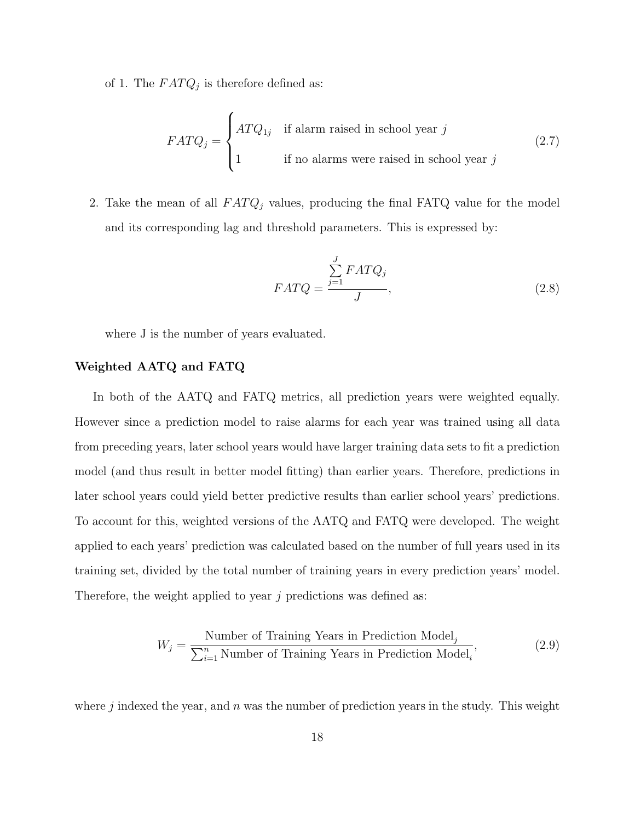of 1. The  $FATQ_j$  is therefore defined as:

$$
FATQ_j = \begin{cases} ATQ_{1j} & \text{if alarm raised in school year } j \\ 1 & \text{if no alarms were raised in school year } j \end{cases}
$$
 (2.7)

2. Take the mean of all  $FATQ_j$  values, producing the final FATQ value for the model and its corresponding lag and threshold parameters. This is expressed by:

$$
FATQ = \frac{\sum_{j=1}^{J} FATQ_j}{J},
$$
\n(2.8)

where J is the number of years evaluated.

#### Weighted AATQ and FATQ

In both of the AATQ and FATQ metrics, all prediction years were weighted equally. However since a prediction model to raise alarms for each year was trained using all data from preceding years, later school years would have larger training data sets to fit a prediction model (and thus result in better model fitting) than earlier years. Therefore, predictions in later school years could yield better predictive results than earlier school years' predictions. To account for this, weighted versions of the AATQ and FATQ were developed. The weight applied to each years' prediction was calculated based on the number of full years used in its training set, divided by the total number of training years in every prediction years' model. Therefore, the weight applied to year  $j$  predictions was defined as:

$$
W_j = \frac{\text{Number of Training Years in Prediction Model}_j}{\sum_{i=1}^n \text{Number of Training Years in Prediction Model}_i},\tag{2.9}
$$

where j indexed the year, and n was the number of prediction years in the study. This weight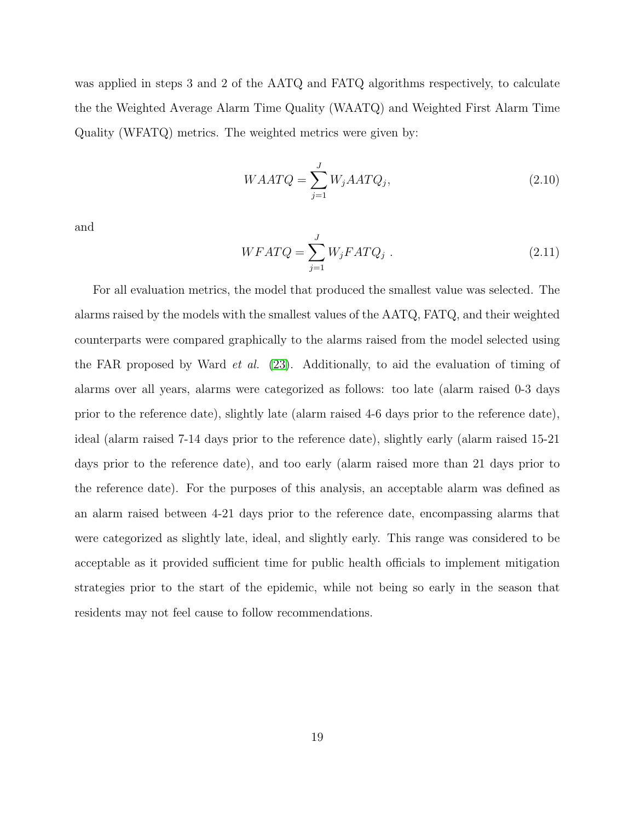was applied in steps 3 and 2 of the AATQ and FATQ algorithms respectively, to calculate the the Weighted Average Alarm Time Quality (WAATQ) and Weighted First Alarm Time Quality (WFATQ) metrics. The weighted metrics were given by:

$$
WAATQ = \sum_{j=1}^{J} W_j AATQ_j,
$$
\n(2.10)

and

$$
WFATQ = \sum_{j=1}^{J} W_j FATQ_j . \qquad (2.11)
$$

For all evaluation metrics, the model that produced the smallest value was selected. The alarms raised by the models with the smallest values of the AATQ, FATQ, and their weighted counterparts were compared graphically to the alarms raised from the model selected using the FAR proposed by Ward et al. [\(23\)](#page-41-3). Additionally, to aid the evaluation of timing of alarms over all years, alarms were categorized as follows: too late (alarm raised 0-3 days prior to the reference date), slightly late (alarm raised 4-6 days prior to the reference date), ideal (alarm raised 7-14 days prior to the reference date), slightly early (alarm raised 15-21 days prior to the reference date), and too early (alarm raised more than 21 days prior to the reference date). For the purposes of this analysis, an acceptable alarm was defined as an alarm raised between 4-21 days prior to the reference date, encompassing alarms that were categorized as slightly late, ideal, and slightly early. This range was considered to be acceptable as it provided sufficient time for public health officials to implement mitigation strategies prior to the start of the epidemic, while not being so early in the season that residents may not feel cause to follow recommendations.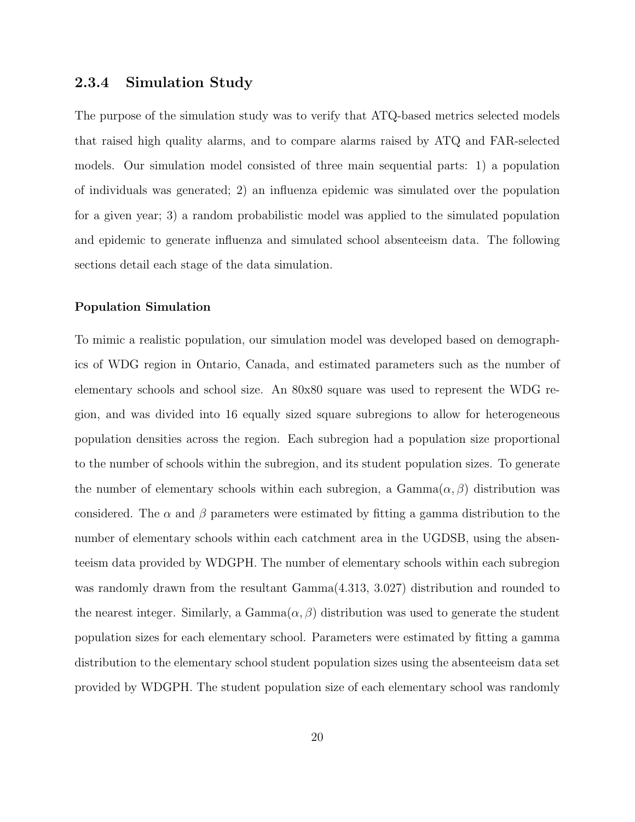#### <span id="page-26-0"></span>2.3.4 Simulation Study

The purpose of the simulation study was to verify that ATQ-based metrics selected models that raised high quality alarms, and to compare alarms raised by ATQ and FAR-selected models. Our simulation model consisted of three main sequential parts: 1) a population of individuals was generated; 2) an influenza epidemic was simulated over the population for a given year; 3) a random probabilistic model was applied to the simulated population and epidemic to generate influenza and simulated school absenteeism data. The following sections detail each stage of the data simulation.

#### Population Simulation

To mimic a realistic population, our simulation model was developed based on demographics of WDG region in Ontario, Canada, and estimated parameters such as the number of elementary schools and school size. An 80x80 square was used to represent the WDG region, and was divided into 16 equally sized square subregions to allow for heterogeneous population densities across the region. Each subregion had a population size proportional to the number of schools within the subregion, and its student population sizes. To generate the number of elementary schools within each subregion, a  $Gamma(\alpha, \beta)$  distribution was considered. The  $\alpha$  and  $\beta$  parameters were estimated by fitting a gamma distribution to the number of elementary schools within each catchment area in the UGDSB, using the absenteeism data provided by WDGPH. The number of elementary schools within each subregion was randomly drawn from the resultant Gamma(4.313, 3.027) distribution and rounded to the nearest integer. Similarly, a Gamma $(\alpha, \beta)$  distribution was used to generate the student population sizes for each elementary school. Parameters were estimated by fitting a gamma distribution to the elementary school student population sizes using the absenteeism data set provided by WDGPH. The student population size of each elementary school was randomly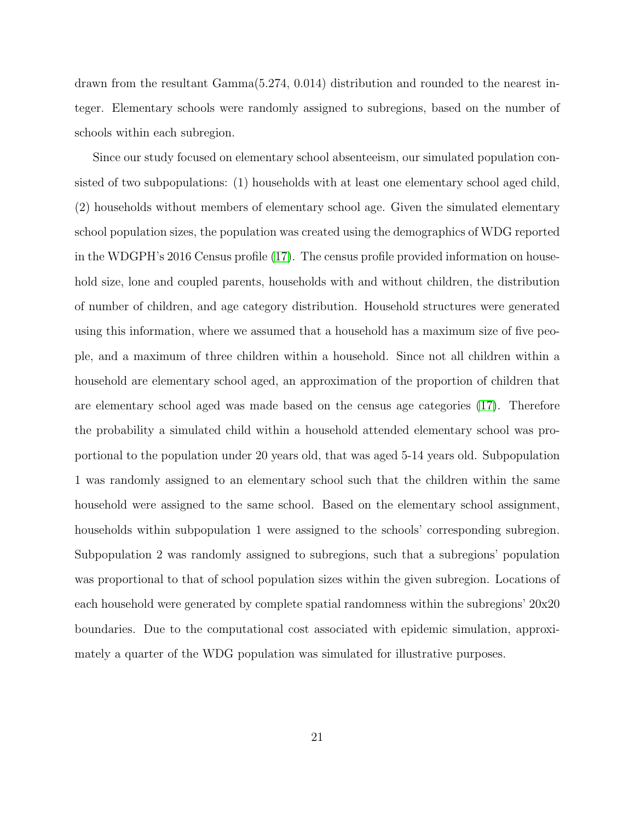drawn from the resultant Gamma(5.274, 0.014) distribution and rounded to the nearest integer. Elementary schools were randomly assigned to subregions, based on the number of schools within each subregion.

Since our study focused on elementary school absenteeism, our simulated population consisted of two subpopulations: (1) households with at least one elementary school aged child, (2) households without members of elementary school age. Given the simulated elementary school population sizes, the population was created using the demographics of WDG reported in the WDGPH's 2016 Census profile [\(17\)](#page-41-4). The census profile provided information on household size, lone and coupled parents, households with and without children, the distribution of number of children, and age category distribution. Household structures were generated using this information, where we assumed that a household has a maximum size of five people, and a maximum of three children within a household. Since not all children within a household are elementary school aged, an approximation of the proportion of children that are elementary school aged was made based on the census age categories [\(17\)](#page-41-4). Therefore the probability a simulated child within a household attended elementary school was proportional to the population under 20 years old, that was aged 5-14 years old. Subpopulation 1 was randomly assigned to an elementary school such that the children within the same household were assigned to the same school. Based on the elementary school assignment, households within subpopulation 1 were assigned to the schools' corresponding subregion. Subpopulation 2 was randomly assigned to subregions, such that a subregions' population was proportional to that of school population sizes within the given subregion. Locations of each household were generated by complete spatial randomness within the subregions' 20x20 boundaries. Due to the computational cost associated with epidemic simulation, approximately a quarter of the WDG population was simulated for illustrative purposes.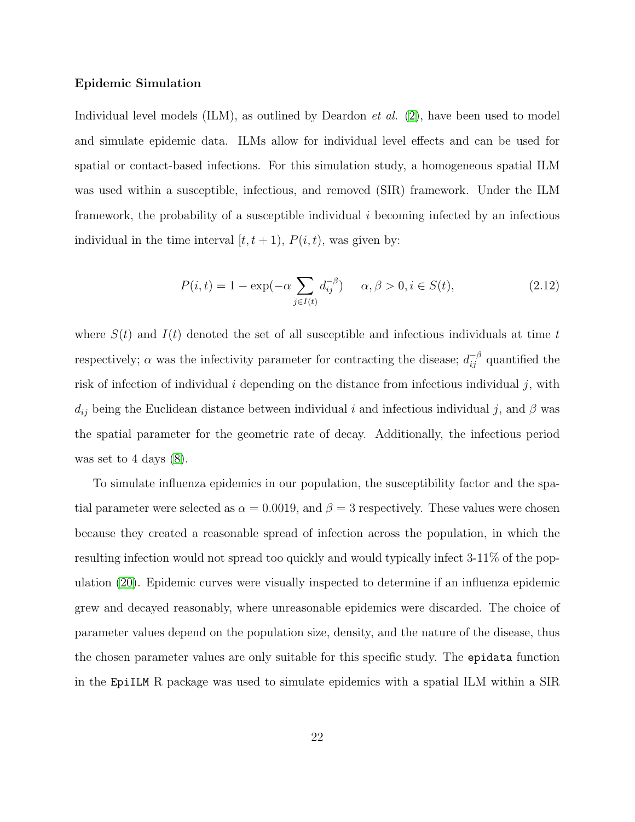#### Epidemic Simulation

Individual level models  $(ILM)$ , as outlined by Deardon *et al.*  $(2)$ , have been used to model and simulate epidemic data. ILMs allow for individual level effects and can be used for spatial or contact-based infections. For this simulation study, a homogeneous spatial ILM was used within a susceptible, infectious, and removed (SIR) framework. Under the ILM framework, the probability of a susceptible individual  $i$  becoming infected by an infectious individual in the time interval  $[t, t + 1)$ ,  $P(i, t)$ , was given by:

$$
P(i,t) = 1 - \exp(-\alpha \sum_{j \in I(t)} d_{ij}^{-\beta}) \qquad \alpha, \beta > 0, i \in S(t), \tag{2.12}
$$

where  $S(t)$  and  $I(t)$  denoted the set of all susceptible and infectious individuals at time t respectively;  $\alpha$  was the infectivity parameter for contracting the disease;  $d_{ij}^{-\beta}$  quantified the risk of infection of individual  $i$  depending on the distance from infectious individual  $j$ , with  $d_{ij}$  being the Euclidean distance between individual i and infectious individual j, and  $\beta$  was the spatial parameter for the geometric rate of decay. Additionally, the infectious period was set to 4 days  $(8)$ .

To simulate influenza epidemics in our population, the susceptibility factor and the spatial parameter were selected as  $\alpha = 0.0019$ , and  $\beta = 3$  respectively. These values were chosen because they created a reasonable spread of infection across the population, in which the resulting infection would not spread too quickly and would typically infect 3-11% of the population [\(20\)](#page-41-5). Epidemic curves were visually inspected to determine if an influenza epidemic grew and decayed reasonably, where unreasonable epidemics were discarded. The choice of parameter values depend on the population size, density, and the nature of the disease, thus the chosen parameter values are only suitable for this specific study. The epidata function in the EpiILM R package was used to simulate epidemics with a spatial ILM within a SIR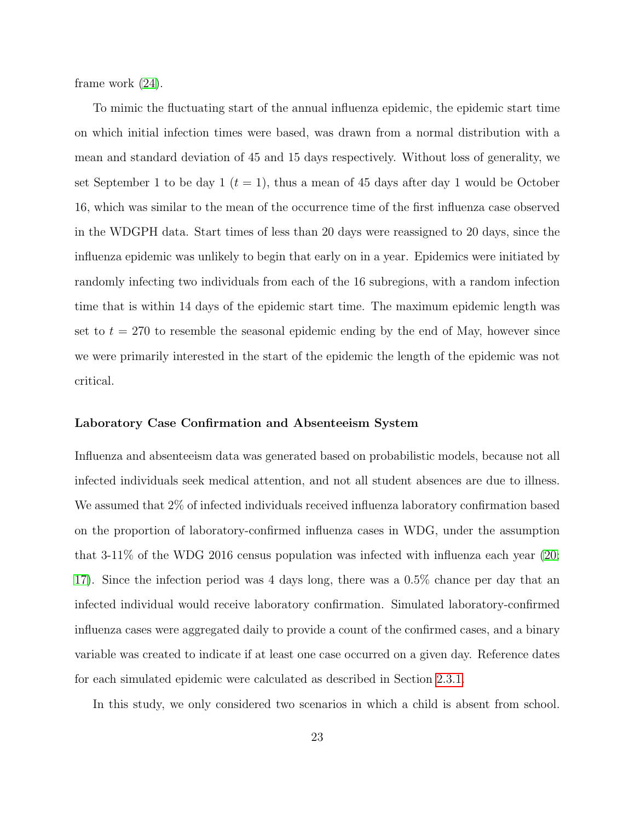frame work [\(24\)](#page-41-6).

To mimic the fluctuating start of the annual influenza epidemic, the epidemic start time on which initial infection times were based, was drawn from a normal distribution with a mean and standard deviation of 45 and 15 days respectively. Without loss of generality, we set September 1 to be day 1 ( $t = 1$ ), thus a mean of 45 days after day 1 would be October 16, which was similar to the mean of the occurrence time of the first influenza case observed in the WDGPH data. Start times of less than 20 days were reassigned to 20 days, since the influenza epidemic was unlikely to begin that early on in a year. Epidemics were initiated by randomly infecting two individuals from each of the 16 subregions, with a random infection time that is within 14 days of the epidemic start time. The maximum epidemic length was set to  $t = 270$  to resemble the seasonal epidemic ending by the end of May, however since we were primarily interested in the start of the epidemic the length of the epidemic was not critical.

#### Laboratory Case Confirmation and Absenteeism System

Influenza and absenteeism data was generated based on probabilistic models, because not all infected individuals seek medical attention, and not all student absences are due to illness. We assumed that 2% of infected individuals received influenza laboratory confirmation based on the proportion of laboratory-confirmed influenza cases in WDG, under the assumption that 3-11% of the WDG 2016 census population was infected with influenza each year [\(20;](#page-41-5) [17\)](#page-41-4). Since the infection period was 4 days long, there was a 0.5% chance per day that an infected individual would receive laboratory confirmation. Simulated laboratory-confirmed influenza cases were aggregated daily to provide a count of the confirmed cases, and a binary variable was created to indicate if at least one case occurred on a given day. Reference dates for each simulated epidemic were calculated as described in Section [2.3.1.](#page-16-0)

In this study, we only considered two scenarios in which a child is absent from school.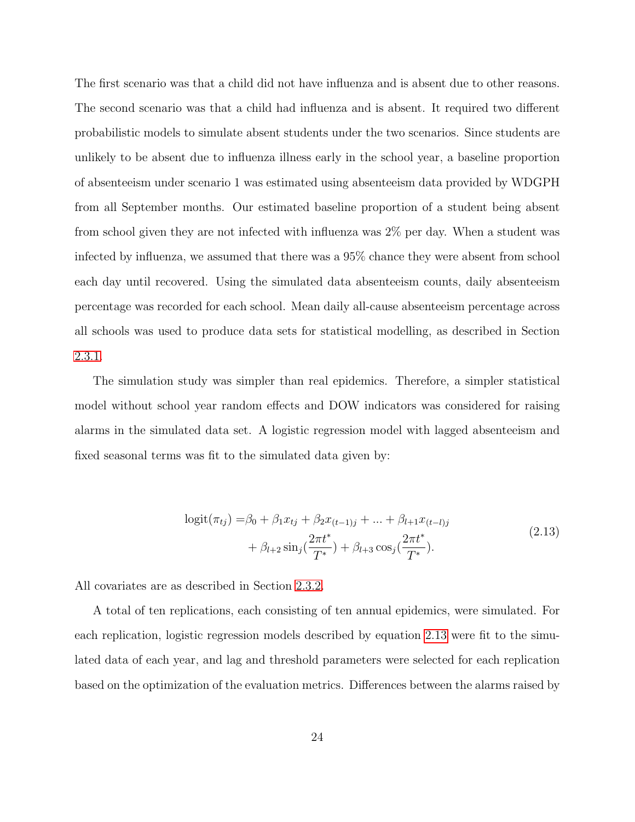The first scenario was that a child did not have influenza and is absent due to other reasons. The second scenario was that a child had influenza and is absent. It required two different probabilistic models to simulate absent students under the two scenarios. Since students are unlikely to be absent due to influenza illness early in the school year, a baseline proportion of absenteeism under scenario 1 was estimated using absenteeism data provided by WDGPH from all September months. Our estimated baseline proportion of a student being absent from school given they are not infected with influenza was 2% per day. When a student was infected by influenza, we assumed that there was a 95% chance they were absent from school each day until recovered. Using the simulated data absenteeism counts, daily absenteeism percentage was recorded for each school. Mean daily all-cause absenteeism percentage across all schools was used to produce data sets for statistical modelling, as described in Section [2.3.1.](#page-15-0)

The simulation study was simpler than real epidemics. Therefore, a simpler statistical model without school year random effects and DOW indicators was considered for raising alarms in the simulated data set. A logistic regression model with lagged absenteeism and fixed seasonal terms was fit to the simulated data given by:

$$
logit(\pi_{tj}) = \beta_0 + \beta_1 x_{tj} + \beta_2 x_{(t-1)j} + \dots + \beta_{l+1} x_{(t-l)j} + \beta_{l+2} \sin_j(\frac{2\pi t^*}{T^*}) + \beta_{l+3} \cos_j(\frac{2\pi t^*}{T^*}).
$$
\n(2.13)

<span id="page-30-0"></span>All covariates are as described in Section [2.3.2.](#page-17-0)

A total of ten replications, each consisting of ten annual epidemics, were simulated. For each replication, logistic regression models described by equation [2.13](#page-30-0) were fit to the simulated data of each year, and lag and threshold parameters were selected for each replication based on the optimization of the evaluation metrics. Differences between the alarms raised by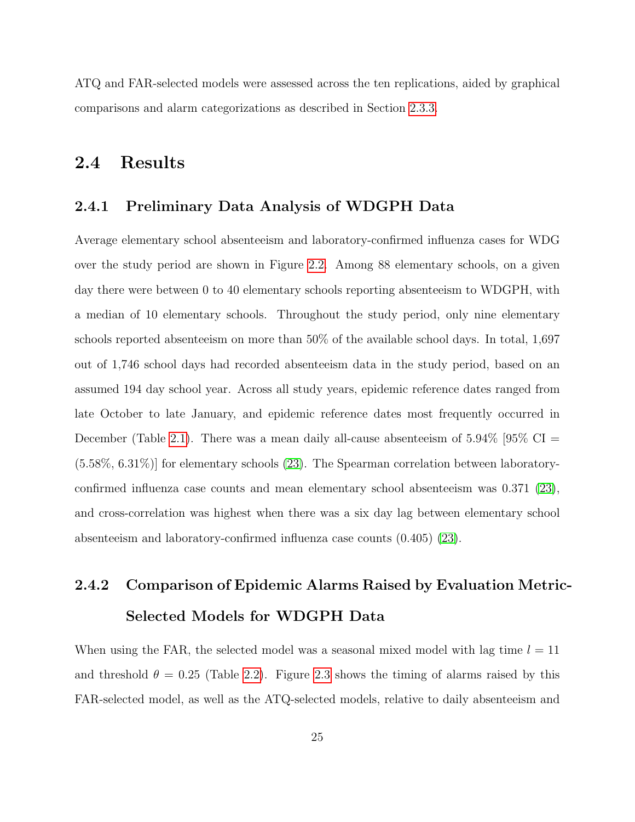ATQ and FAR-selected models were assessed across the ten replications, aided by graphical comparisons and alarm categorizations as described in Section [2.3.3.](#page-22-0)

## <span id="page-31-0"></span>2.4 Results

#### <span id="page-31-1"></span>2.4.1 Preliminary Data Analysis of WDGPH Data

Average elementary school absenteeism and laboratory-confirmed influenza cases for WDG over the study period are shown in Figure [2.2.](#page-45-0) Among 88 elementary schools, on a given day there were between 0 to 40 elementary schools reporting absenteeism to WDGPH, with a median of 10 elementary schools. Throughout the study period, only nine elementary schools reported absenteeism on more than 50% of the available school days. In total, 1,697 out of 1,746 school days had recorded absenteeism data in the study period, based on an assumed 194 day school year. Across all study years, epidemic reference dates ranged from late October to late January, and epidemic reference dates most frequently occurred in December (Table [2.1\)](#page-42-1). There was a mean daily all-cause absenteeism of  $5.94\%$  [95\% CI = (5.58%, 6.31%)] for elementary schools [\(23\)](#page-41-3). The Spearman correlation between laboratoryconfirmed influenza case counts and mean elementary school absenteeism was 0.371 [\(23\)](#page-41-3), and cross-correlation was highest when there was a six day lag between elementary school absenteeism and laboratory-confirmed influenza case counts (0.405) [\(23\)](#page-41-3).

## <span id="page-31-2"></span>2.4.2 Comparison of Epidemic Alarms Raised by Evaluation Metric-Selected Models for WDGPH Data

When using the FAR, the selected model was a seasonal mixed model with lag time  $l = 11$ and threshold  $\theta = 0.25$  (Table [2.2\)](#page-42-2). Figure [2.3](#page-45-1) shows the timing of alarms raised by this FAR-selected model, as well as the ATQ-selected models, relative to daily absenteeism and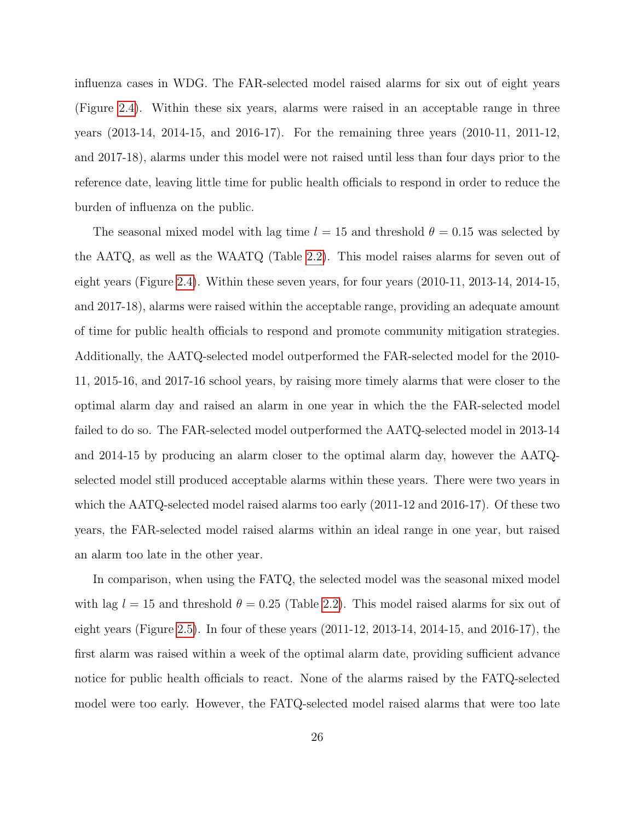influenza cases in WDG. The FAR-selected model raised alarms for six out of eight years (Figure [2.4\)](#page-46-0). Within these six years, alarms were raised in an acceptable range in three years (2013-14, 2014-15, and 2016-17). For the remaining three years (2010-11, 2011-12, and 2017-18), alarms under this model were not raised until less than four days prior to the reference date, leaving little time for public health officials to respond in order to reduce the burden of influenza on the public.

The seasonal mixed model with lag time  $l = 15$  and threshold  $\theta = 0.15$  was selected by the AATQ, as well as the WAATQ (Table [2.2\)](#page-42-2). This model raises alarms for seven out of eight years (Figure [2.4\)](#page-46-0). Within these seven years, for four years (2010-11, 2013-14, 2014-15, and 2017-18), alarms were raised within the acceptable range, providing an adequate amount of time for public health officials to respond and promote community mitigation strategies. Additionally, the AATQ-selected model outperformed the FAR-selected model for the 2010- 11, 2015-16, and 2017-16 school years, by raising more timely alarms that were closer to the optimal alarm day and raised an alarm in one year in which the the FAR-selected model failed to do so. The FAR-selected model outperformed the AATQ-selected model in 2013-14 and 2014-15 by producing an alarm closer to the optimal alarm day, however the AATQselected model still produced acceptable alarms within these years. There were two years in which the AATQ-selected model raised alarms too early (2011-12 and 2016-17). Of these two years, the FAR-selected model raised alarms within an ideal range in one year, but raised an alarm too late in the other year.

In comparison, when using the FATQ, the selected model was the seasonal mixed model with lag  $l = 15$  and threshold  $\theta = 0.25$  (Table [2.2\)](#page-42-2). This model raised alarms for six out of eight years (Figure [2.5\)](#page-47-0). In four of these years (2011-12, 2013-14, 2014-15, and 2016-17), the first alarm was raised within a week of the optimal alarm date, providing sufficient advance notice for public health officials to react. None of the alarms raised by the FATQ-selected model were too early. However, the FATQ-selected model raised alarms that were too late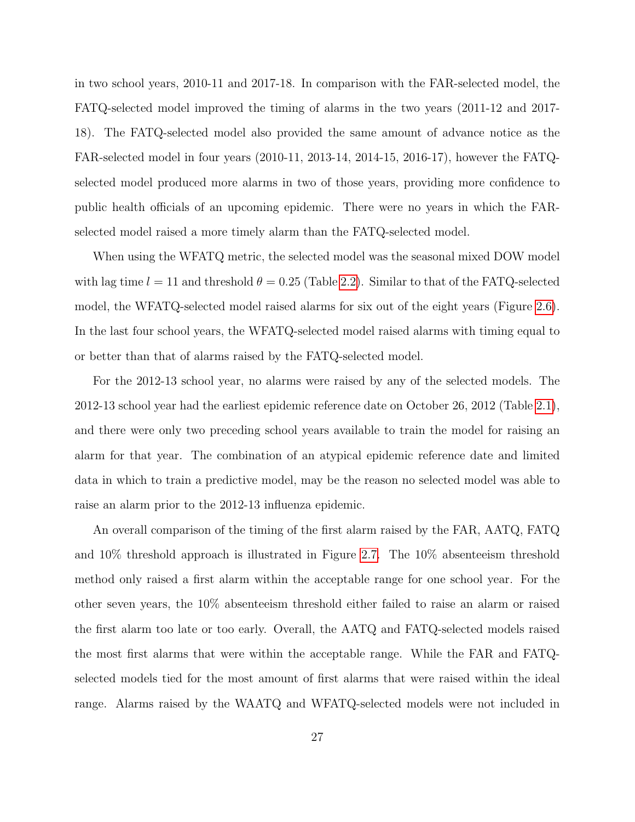in two school years, 2010-11 and 2017-18. In comparison with the FAR-selected model, the FATQ-selected model improved the timing of alarms in the two years (2011-12 and 2017- 18). The FATQ-selected model also provided the same amount of advance notice as the FAR-selected model in four years (2010-11, 2013-14, 2014-15, 2016-17), however the FATQselected model produced more alarms in two of those years, providing more confidence to public health officials of an upcoming epidemic. There were no years in which the FARselected model raised a more timely alarm than the FATQ-selected model.

When using the WFATQ metric, the selected model was the seasonal mixed DOW model with lag time  $l = 11$  and threshold  $\theta = 0.25$  (Table [2.2\)](#page-42-2). Similar to that of the FATQ-selected model, the WFATQ-selected model raised alarms for six out of the eight years (Figure [2.6\)](#page-48-0). In the last four school years, the WFATQ-selected model raised alarms with timing equal to or better than that of alarms raised by the FATQ-selected model.

For the 2012-13 school year, no alarms were raised by any of the selected models. The 2012-13 school year had the earliest epidemic reference date on October 26, 2012 (Table [2.1\)](#page-42-1), and there were only two preceding school years available to train the model for raising an alarm for that year. The combination of an atypical epidemic reference date and limited data in which to train a predictive model, may be the reason no selected model was able to raise an alarm prior to the 2012-13 influenza epidemic.

An overall comparison of the timing of the first alarm raised by the FAR, AATQ, FATQ and 10% threshold approach is illustrated in Figure [2.7.](#page-49-0) The 10% absenteeism threshold method only raised a first alarm within the acceptable range for one school year. For the other seven years, the 10% absenteeism threshold either failed to raise an alarm or raised the first alarm too late or too early. Overall, the AATQ and FATQ-selected models raised the most first alarms that were within the acceptable range. While the FAR and FATQselected models tied for the most amount of first alarms that were raised within the ideal range. Alarms raised by the WAATQ and WFATQ-selected models were not included in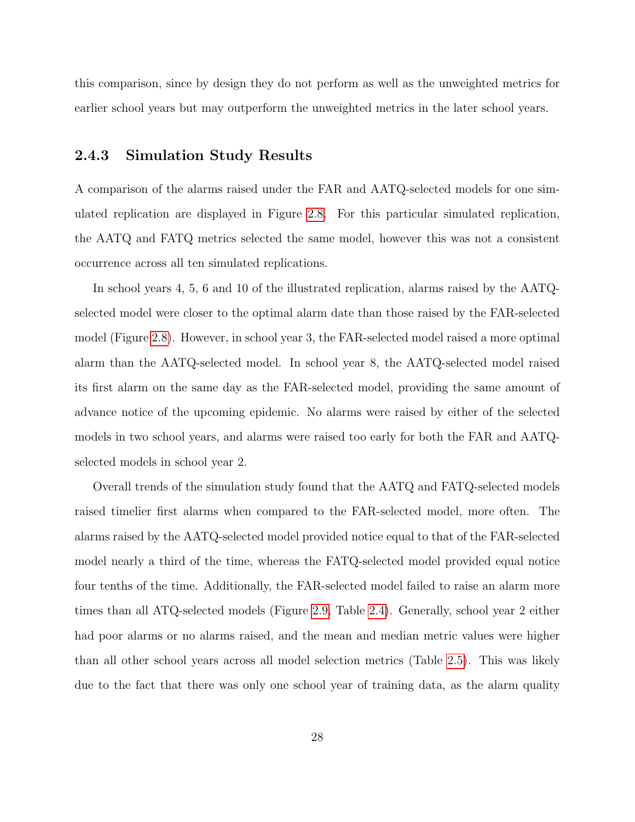this comparison, since by design they do not perform as well as the unweighted metrics for earlier school years but may outperform the unweighted metrics in the later school years.

#### <span id="page-34-0"></span>2.4.3 Simulation Study Results

A comparison of the alarms raised under the FAR and AATQ-selected models for one simulated replication are displayed in Figure [2.8.](#page-50-0) For this particular simulated replication, the AATQ and FATQ metrics selected the same model, however this was not a consistent occurrence across all ten simulated replications.

In school years 4, 5, 6 and 10 of the illustrated replication, alarms raised by the AATQselected model were closer to the optimal alarm date than those raised by the FAR-selected model (Figure [2.8\)](#page-50-0). However, in school year 3, the FAR-selected model raised a more optimal alarm than the AATQ-selected model. In school year 8, the AATQ-selected model raised its first alarm on the same day as the FAR-selected model, providing the same amount of advance notice of the upcoming epidemic. No alarms were raised by either of the selected models in two school years, and alarms were raised too early for both the FAR and AATQselected models in school year 2.

Overall trends of the simulation study found that the AATQ and FATQ-selected models raised timelier first alarms when compared to the FAR-selected model, more often. The alarms raised by the AATQ-selected model provided notice equal to that of the FAR-selected model nearly a third of the time, whereas the FATQ-selected model provided equal notice four tenths of the time. Additionally, the FAR-selected model failed to raise an alarm more times than all ATQ-selected models (Figure [2.9,](#page-51-0) Table [2.4\)](#page-43-0). Generally, school year 2 either had poor alarms or no alarms raised, and the mean and median metric values were higher than all other school years across all model selection metrics (Table [2.5\)](#page-43-1). This was likely due to the fact that there was only one school year of training data, as the alarm quality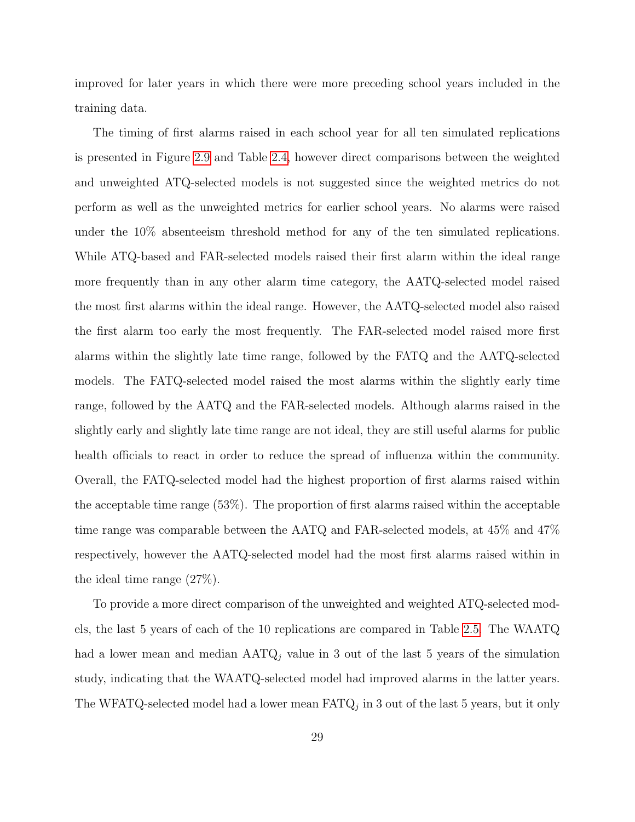improved for later years in which there were more preceding school years included in the training data.

The timing of first alarms raised in each school year for all ten simulated replications is presented in Figure [2.9](#page-51-0) and Table [2.4,](#page-43-0) however direct comparisons between the weighted and unweighted ATQ-selected models is not suggested since the weighted metrics do not perform as well as the unweighted metrics for earlier school years. No alarms were raised under the 10% absenteeism threshold method for any of the ten simulated replications. While ATQ-based and FAR-selected models raised their first alarm within the ideal range more frequently than in any other alarm time category, the AATQ-selected model raised the most first alarms within the ideal range. However, the AATQ-selected model also raised the first alarm too early the most frequently. The FAR-selected model raised more first alarms within the slightly late time range, followed by the FATQ and the AATQ-selected models. The FATQ-selected model raised the most alarms within the slightly early time range, followed by the AATQ and the FAR-selected models. Although alarms raised in the slightly early and slightly late time range are not ideal, they are still useful alarms for public health officials to react in order to reduce the spread of influenza within the community. Overall, the FATQ-selected model had the highest proportion of first alarms raised within the acceptable time range (53%). The proportion of first alarms raised within the acceptable time range was comparable between the AATQ and FAR-selected models, at 45% and 47% respectively, however the AATQ-selected model had the most first alarms raised within in the ideal time range (27%).

To provide a more direct comparison of the unweighted and weighted ATQ-selected models, the last 5 years of each of the 10 replications are compared in Table [2.5.](#page-43-1) The WAATQ had a lower mean and median  $AATQ_j$  value in 3 out of the last 5 years of the simulation study, indicating that the WAATQ-selected model had improved alarms in the latter years. The WFATQ-selected model had a lower mean  $\text{FATQ}_j$  in 3 out of the last 5 years, but it only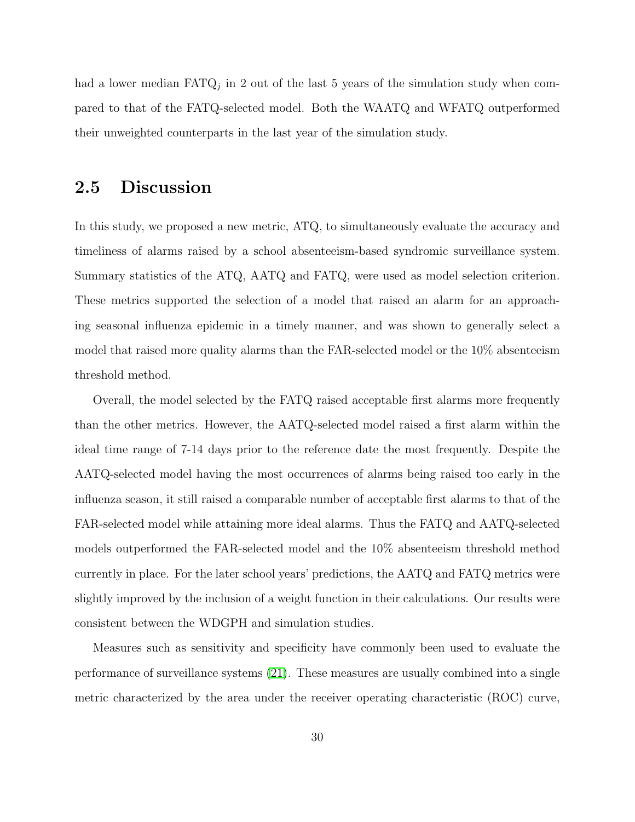had a lower median  $\text{FATQ}_j$  in 2 out of the last 5 years of the simulation study when compared to that of the FATQ-selected model. Both the WAATQ and WFATQ outperformed their unweighted counterparts in the last year of the simulation study.

## <span id="page-36-0"></span>2.5 Discussion

In this study, we proposed a new metric, ATQ, to simultaneously evaluate the accuracy and timeliness of alarms raised by a school absenteeism-based syndromic surveillance system. Summary statistics of the ATQ, AATQ and FATQ, were used as model selection criterion. These metrics supported the selection of a model that raised an alarm for an approaching seasonal influenza epidemic in a timely manner, and was shown to generally select a model that raised more quality alarms than the FAR-selected model or the 10% absenteeism threshold method.

Overall, the model selected by the FATQ raised acceptable first alarms more frequently than the other metrics. However, the AATQ-selected model raised a first alarm within the ideal time range of 7-14 days prior to the reference date the most frequently. Despite the AATQ-selected model having the most occurrences of alarms being raised too early in the influenza season, it still raised a comparable number of acceptable first alarms to that of the FAR-selected model while attaining more ideal alarms. Thus the FATQ and AATQ-selected models outperformed the FAR-selected model and the 10% absenteeism threshold method currently in place. For the later school years' predictions, the AATQ and FATQ metrics were slightly improved by the inclusion of a weight function in their calculations. Our results were consistent between the WDGPH and simulation studies.

Measures such as sensitivity and specificity have commonly been used to evaluate the performance of surveillance systems [\(21\)](#page-41-7). These measures are usually combined into a single metric characterized by the area under the receiver operating characteristic (ROC) curve,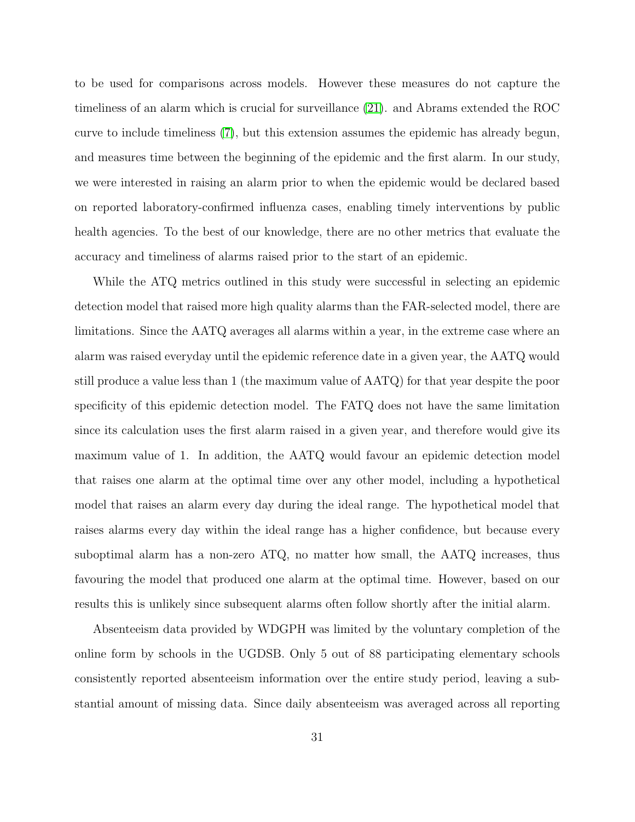to be used for comparisons across models. However these measures do not capture the timeliness of an alarm which is crucial for surveillance [\(21\)](#page-41-7). and Abrams extended the ROC curve to include timeliness [\(7\)](#page-40-11), but this extension assumes the epidemic has already begun, and measures time between the beginning of the epidemic and the first alarm. In our study, we were interested in raising an alarm prior to when the epidemic would be declared based on reported laboratory-confirmed influenza cases, enabling timely interventions by public health agencies. To the best of our knowledge, there are no other metrics that evaluate the accuracy and timeliness of alarms raised prior to the start of an epidemic.

While the ATQ metrics outlined in this study were successful in selecting an epidemic detection model that raised more high quality alarms than the FAR-selected model, there are limitations. Since the AATQ averages all alarms within a year, in the extreme case where an alarm was raised everyday until the epidemic reference date in a given year, the AATQ would still produce a value less than 1 (the maximum value of AATQ) for that year despite the poor specificity of this epidemic detection model. The FATQ does not have the same limitation since its calculation uses the first alarm raised in a given year, and therefore would give its maximum value of 1. In addition, the AATQ would favour an epidemic detection model that raises one alarm at the optimal time over any other model, including a hypothetical model that raises an alarm every day during the ideal range. The hypothetical model that raises alarms every day within the ideal range has a higher confidence, but because every suboptimal alarm has a non-zero ATQ, no matter how small, the AATQ increases, thus favouring the model that produced one alarm at the optimal time. However, based on our results this is unlikely since subsequent alarms often follow shortly after the initial alarm.

Absenteeism data provided by WDGPH was limited by the voluntary completion of the online form by schools in the UGDSB. Only 5 out of 88 participating elementary schools consistently reported absenteeism information over the entire study period, leaving a substantial amount of missing data. Since daily absenteeism was averaged across all reporting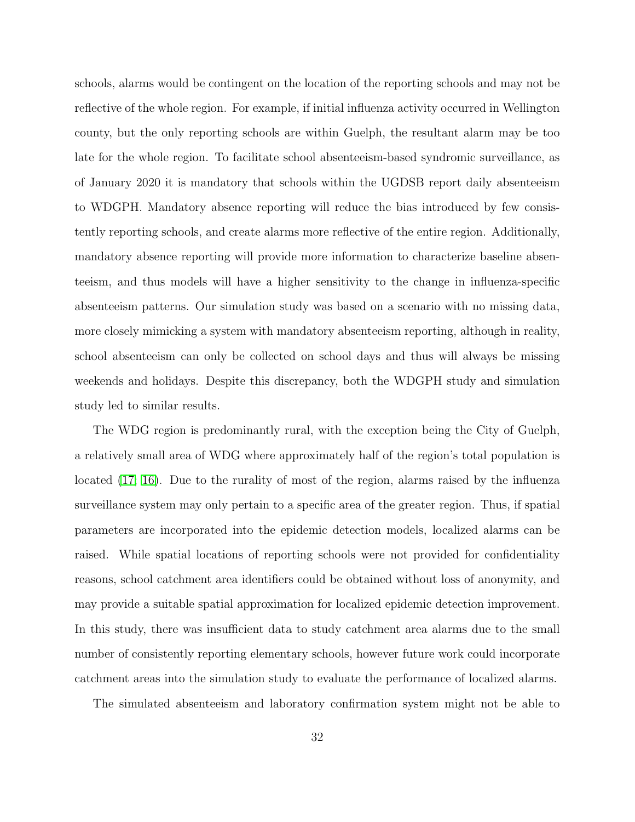schools, alarms would be contingent on the location of the reporting schools and may not be reflective of the whole region. For example, if initial influenza activity occurred in Wellington county, but the only reporting schools are within Guelph, the resultant alarm may be too late for the whole region. To facilitate school absenteeism-based syndromic surveillance, as of January 2020 it is mandatory that schools within the UGDSB report daily absenteeism to WDGPH. Mandatory absence reporting will reduce the bias introduced by few consistently reporting schools, and create alarms more reflective of the entire region. Additionally, mandatory absence reporting will provide more information to characterize baseline absenteeism, and thus models will have a higher sensitivity to the change in influenza-specific absenteeism patterns. Our simulation study was based on a scenario with no missing data, more closely mimicking a system with mandatory absenteeism reporting, although in reality, school absenteeism can only be collected on school days and thus will always be missing weekends and holidays. Despite this discrepancy, both the WDGPH study and simulation study led to similar results.

The WDG region is predominantly rural, with the exception being the City of Guelph, a relatively small area of WDG where approximately half of the region's total population is located [\(17;](#page-41-4) [16\)](#page-41-8). Due to the rurality of most of the region, alarms raised by the influenza surveillance system may only pertain to a specific area of the greater region. Thus, if spatial parameters are incorporated into the epidemic detection models, localized alarms can be raised. While spatial locations of reporting schools were not provided for confidentiality reasons, school catchment area identifiers could be obtained without loss of anonymity, and may provide a suitable spatial approximation for localized epidemic detection improvement. In this study, there was insufficient data to study catchment area alarms due to the small number of consistently reporting elementary schools, however future work could incorporate catchment areas into the simulation study to evaluate the performance of localized alarms.

The simulated absenteeism and laboratory confirmation system might not be able to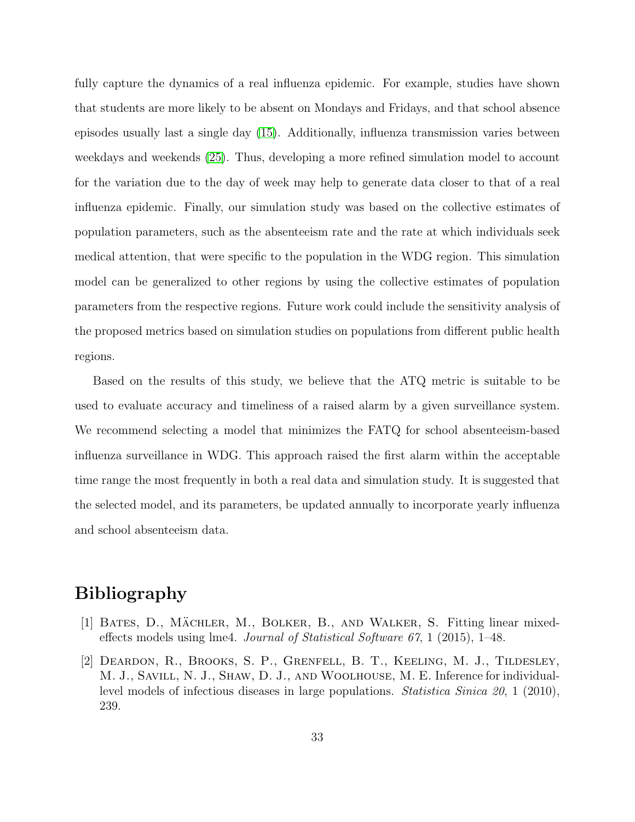fully capture the dynamics of a real influenza epidemic. For example, studies have shown that students are more likely to be absent on Mondays and Fridays, and that school absence episodes usually last a single day [\(15\)](#page-41-9). Additionally, influenza transmission varies between weekdays and weekends [\(25\)](#page-41-10). Thus, developing a more refined simulation model to account for the variation due to the day of week may help to generate data closer to that of a real influenza epidemic. Finally, our simulation study was based on the collective estimates of population parameters, such as the absenteeism rate and the rate at which individuals seek medical attention, that were specific to the population in the WDG region. This simulation model can be generalized to other regions by using the collective estimates of population parameters from the respective regions. Future work could include the sensitivity analysis of the proposed metrics based on simulation studies on populations from different public health regions.

Based on the results of this study, we believe that the ATQ metric is suitable to be used to evaluate accuracy and timeliness of a raised alarm by a given surveillance system. We recommend selecting a model that minimizes the FATQ for school absenteeism-based influenza surveillance in WDG. This approach raised the first alarm within the acceptable time range the most frequently in both a real data and simulation study. It is suggested that the selected model, and its parameters, be updated annually to incorporate yearly influenza and school absenteeism data.

## Bibliography

- <span id="page-39-0"></span>[1] BATES, D., MÄCHLER, M., BOLKER, B., AND WALKER, S. Fitting linear mixedeffects models using lme4. Journal of Statistical Software  $67$ , 1 (2015), 1–48.
- <span id="page-39-1"></span>[2] Deardon, R., Brooks, S. P., Grenfell, B. T., Keeling, M. J., Tildesley, M. J., Savill, N. J., Shaw, D. J., and Woolhouse, M. E. Inference for individuallevel models of infectious diseases in large populations. Statistica Sinica 20, 1 (2010), 239.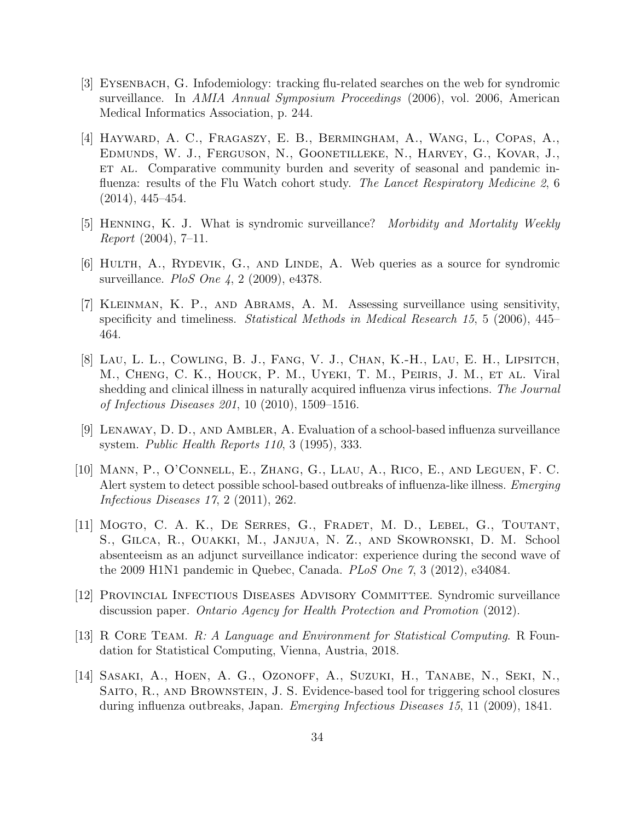- <span id="page-40-1"></span>[3] Eysenbach, G. Infodemiology: tracking flu-related searches on the web for syndromic surveillance. In AMIA Annual Symposium Proceedings (2006), vol. 2006, American Medical Informatics Association, p. 244.
- <span id="page-40-4"></span>[4] Hayward, A. C., Fragaszy, E. B., Bermingham, A., Wang, L., Copas, A., Edmunds, W. J., Ferguson, N., Goonetilleke, N., Harvey, G., Kovar, J., ET AL. Comparative community burden and severity of seasonal and pandemic influenza: results of the Flu Watch cohort study. The Lancet Respiratory Medicine 2, 6 (2014), 445–454.
- <span id="page-40-2"></span>[5] Henning, K. J. What is syndromic surveillance? Morbidity and Mortality Weekly Report (2004), 7–11.
- <span id="page-40-0"></span>[6] HULTH, A., RYDEVIK, G., AND LINDE, A. Web queries as a source for syndromic surveillance. *PloS One 4*, 2 (2009), e4378.
- <span id="page-40-11"></span>[7] Kleinman, K. P., and Abrams, A. M. Assessing surveillance using sensitivity, specificity and timeliness. *Statistical Methods in Medical Research 15*, 5 (2006), 445– 464.
- <span id="page-40-10"></span>[8] Lau, L. L., Cowling, B. J., Fang, V. J., Chan, K.-H., Lau, E. H., Lipsitch, M., Cheng, C. K., Houck, P. M., Uyeki, T. M., Peiris, J. M., et al. Viral shedding and clinical illness in naturally acquired influenza virus infections. The Journal of Infectious Diseases 201, 10 (2010), 1509–1516.
- <span id="page-40-5"></span>[9] Lenaway, D. D., and Ambler, A. Evaluation of a school-based influenza surveillance system. Public Health Reports 110, 3 (1995), 333.
- <span id="page-40-8"></span>[10] Mann, P., O'Connell, E., Zhang, G., Llau, A., Rico, E., and Leguen, F. C. Alert system to detect possible school-based outbreaks of influenza-like illness. Emerging Infectious Diseases 17, 2 (2011), 262.
- <span id="page-40-6"></span>[11] MOGTO, C. A. K., DE SERRES, G., FRADET, M. D., LEBEL, G., TOUTANT, S., Gilca, R., Ouakki, M., Janjua, N. Z., and Skowronski, D. M. School absenteeism as an adjunct surveillance indicator: experience during the second wave of the 2009 H1N1 pandemic in Quebec, Canada. PLoS One 7, 3 (2012), e34084.
- <span id="page-40-3"></span>[12] Provincial Infectious Diseases Advisory Committee. Syndromic surveillance discussion paper. Ontario Agency for Health Protection and Promotion (2012).
- <span id="page-40-9"></span>[13] R CORE TEAM. R: A Language and Environment for Statistical Computing. R Foundation for Statistical Computing, Vienna, Austria, 2018.
- <span id="page-40-7"></span>[14] Sasaki, A., Hoen, A. G., Ozonoff, A., Suzuki, H., Tanabe, N., Seki, N., Saito, R., and Brownstein, J. S. Evidence-based tool for triggering school closures during influenza outbreaks, Japan. Emerging Infectious Diseases 15, 11 (2009), 1841.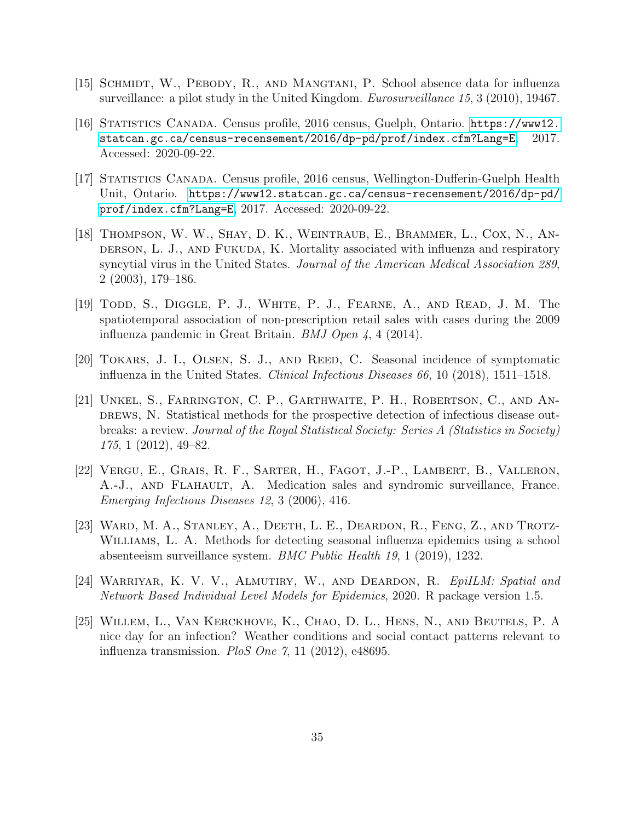- <span id="page-41-9"></span>[15] SCHMIDT, W., PEBODY, R., AND MANGTANI, P. School absence data for influenza surveillance: a pilot study in the United Kingdom. *Eurosurveillance 15*, 3 (2010), 19467.
- <span id="page-41-8"></span>[16] Statistics Canada. Census profile, 2016 census, Guelph, Ontario. [https://www12.](https://www12.statcan.gc.ca/census-recensement/2016/dp-pd/prof/index.cfm?Lang=E) [statcan.gc.ca/census-recensement/2016/dp-pd/prof/index.cfm?Lang=E](https://www12.statcan.gc.ca/census-recensement/2016/dp-pd/prof/index.cfm?Lang=E), 2017. Accessed: 2020-09-22.
- <span id="page-41-4"></span>[17] STATISTICS CANADA. Census profile, 2016 census, Wellington-Dufferin-Guelph Health Unit, Ontario. [https://www12.statcan.gc.ca/census-recensement/2016/dp-pd/](https://www12.statcan.gc.ca/census-recensement/2016/dp-pd/prof/index.cfm?Lang=E) [prof/index.cfm?Lang=E](https://www12.statcan.gc.ca/census-recensement/2016/dp-pd/prof/index.cfm?Lang=E), 2017. Accessed: 2020-09-22.
- <span id="page-41-0"></span>[18] THOMPSON, W. W., SHAY, D. K., WEINTRAUB, E., BRAMMER, L., COX, N., ANderson, L. J., and Fukuda, K. Mortality associated with influenza and respiratory syncytial virus in the United States. Journal of the American Medical Association 289, 2 (2003), 179–186.
- <span id="page-41-1"></span>[19] Todd, S., Diggle, P. J., White, P. J., Fearne, A., and Read, J. M. The spatiotemporal association of non-prescription retail sales with cases during the 2009 influenza pandemic in Great Britain. BMJ Open 4, 4 (2014).
- <span id="page-41-5"></span>[20] TOKARS, J. I., OLSEN, S. J., AND REED, C. Seasonal incidence of symptomatic influenza in the United States. Clinical Infectious Diseases 66, 10 (2018), 1511–1518.
- <span id="page-41-7"></span>[21] Unkel, S., Farrington, C. P., Garthwaite, P. H., Robertson, C., and Andrews, N. Statistical methods for the prospective detection of infectious disease outbreaks: a review. Journal of the Royal Statistical Society: Series A (Statistics in Society) 175, 1 (2012), 49–82.
- <span id="page-41-2"></span>[22] Vergu, E., Grais, R. F., Sarter, H., Fagot, J.-P., Lambert, B., Valleron, A.-J., and Flahault, A. Medication sales and syndromic surveillance, France. Emerging Infectious Diseases 12, 3 (2006), 416.
- <span id="page-41-3"></span>[23] Ward, M. A., Stanley, A., Deeth, L. E., Deardon, R., Feng, Z., and Trotz-WILLIAMS, L. A. Methods for detecting seasonal influenza epidemics using a school absenteeism surveillance system. BMC Public Health 19, 1 (2019), 1232.
- <span id="page-41-6"></span>[24] WARRIYAR, K. V. V., ALMUTIRY, W., AND DEARDON, R. EpilLM: Spatial and Network Based Individual Level Models for Epidemics, 2020. R package version 1.5.
- <span id="page-41-10"></span>[25] Willem, L., Van Kerckhove, K., Chao, D. L., Hens, N., and Beutels, P. A nice day for an infection? Weather conditions and social contact patterns relevant to influenza transmission. PloS One  $7, 11$  (2012), e48695.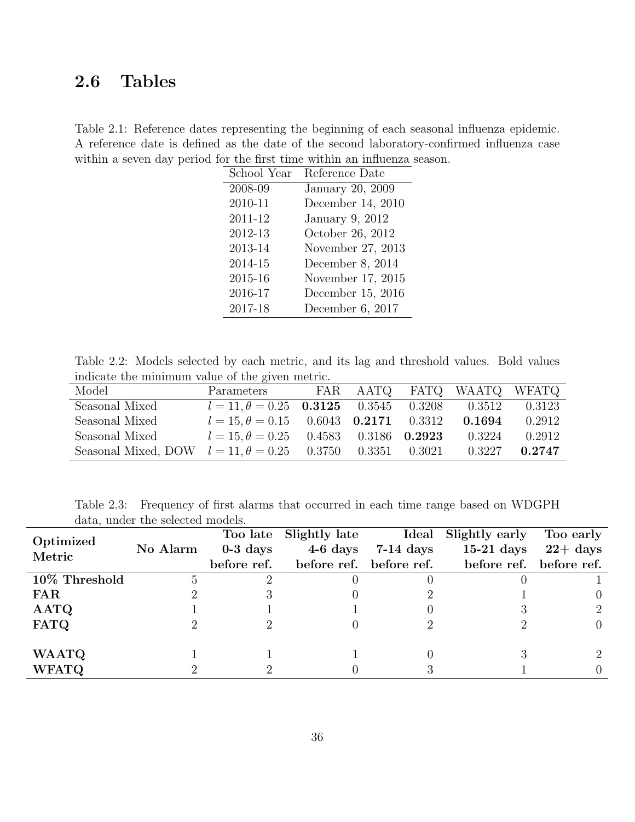## <span id="page-42-0"></span>2.6 Tables

<span id="page-42-1"></span>Table 2.1: Reference dates representing the beginning of each seasonal influenza epidemic. A reference date is defined as the date of the second laboratory-confirmed influenza case within a seven day period for the first time within an influenza season.

| School Year | Reference Date    |
|-------------|-------------------|
| 2008-09     | January 20, 2009  |
| 2010-11     | December 14, 2010 |
| 2011-12     | January 9, 2012   |
| 2012-13     | October 26, 2012  |
| 2013-14     | November 27, 2013 |
| 2014-15     | December 8, 2014  |
| 2015-16     | November 17, 2015 |
| 2016-17     | December 15, 2016 |
| 2017-18     | December 6, 2017  |

<span id="page-42-2"></span>Table 2.2: Models selected by each metric, and its lag and threshold values. Bold values indicate the minimum value of the given metric.

| Model                                                            | Parameters                                          |  | FAR AATQ FATQ WAATQ WFATQ |        |
|------------------------------------------------------------------|-----------------------------------------------------|--|---------------------------|--------|
| Seasonal Mixed                                                   | $l = 11, \theta = 0.25$ <b>0.3125</b> 0.3545 0.3208 |  | 0.3512                    | 0.3123 |
| Seasonal Mixed                                                   | $l = 15, \theta = 0.15$ 0.6043 <b>0.2171</b> 0.3312 |  | 0.1694                    | 0.2912 |
| Seasonal Mixed                                                   | $l = 15, \theta = 0.25$ 0.4583 0.3186 <b>0.2923</b> |  | 0.3224                    | 0.2912 |
| Seasonal Mixed, DOW $l = 11, \theta = 0.25$ 0.3750 0.3351 0.3021 |                                                     |  | 0.3227                    | 0.2747 |

<span id="page-42-3"></span>Table 2.3: Frequency of first alarms that occurred in each time range based on WDGPH data, under the selected models.

| Optimized     |          | Too late    |                         |             | Slightly late Ideal Slightly early | Too early               |
|---------------|----------|-------------|-------------------------|-------------|------------------------------------|-------------------------|
| Metric        | No Alarm | $0-3$ days  | $4-6$ days              | $7-14$ days | $15-21$ days                       | $22 + \mathrm{days}$    |
|               |          | before ref. | before ref. before ref. |             |                                    | before ref. before ref. |
| 10% Threshold |          |             |                         |             |                                    |                         |
| <b>FAR</b>    |          |             |                         |             |                                    |                         |
| AATQ          |          |             |                         |             |                                    |                         |
| <b>FATQ</b>   |          |             |                         |             |                                    |                         |
| <b>WAATQ</b>  |          |             |                         |             |                                    |                         |
| <b>WFATQ</b>  |          |             |                         |             |                                    |                         |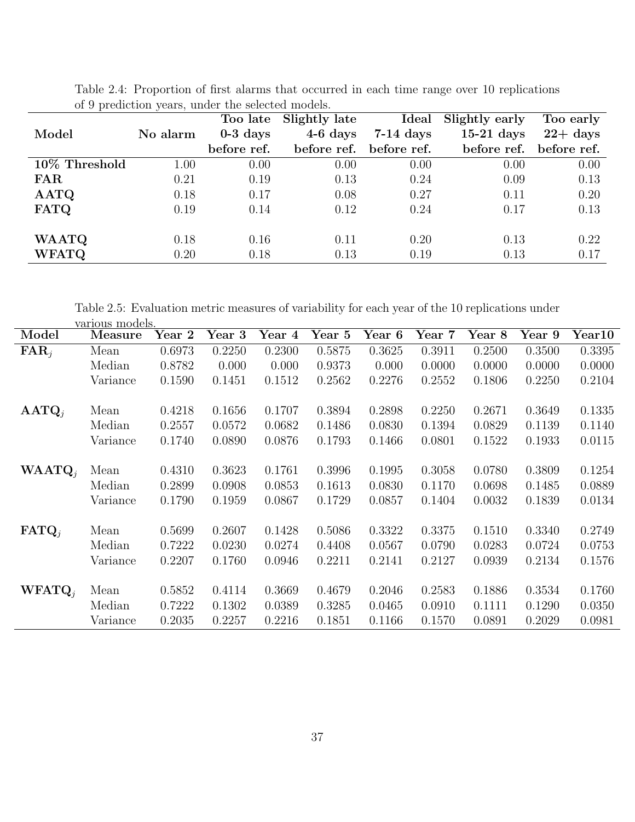|               |          | Slightly late<br>Too late |             | Ideal       | Slightly early | Too early            |  |
|---------------|----------|---------------------------|-------------|-------------|----------------|----------------------|--|
| Model         | No alarm | $0-3$ days                | $4-6$ days  | $7-14$ days | $15-21$ days   | $22 + \mathrm{days}$ |  |
|               |          | before ref.               | before ref. | before ref. | before ref.    | before ref.          |  |
| 10% Threshold | 1.00     | 0.00                      | 0.00        | 0.00        | 0.00           | 0.00                 |  |
| <b>FAR</b>    | 0.21     | 0.19                      | 0.13        | 0.24        | 0.09           | 0.13                 |  |
| AATQ          | 0.18     | 0.17                      | 0.08        | 0.27        | 0.11           | 0.20                 |  |
| <b>FATQ</b>   | 0.19     | 0.14                      | 0.12        | 0.24        | 0.17           | 0.13                 |  |
|               |          |                           |             |             |                |                      |  |
| <b>WAATQ</b>  | 0.18     | 0.16                      | 0.11        | 0.20        | 0.13           | 0.22                 |  |
| <b>WFATQ</b>  | 0.20     | 0.18                      | 0.13        | 0.19        | 0.13           | 0.17                 |  |

<span id="page-43-0"></span>Table 2.4: Proportion of first alarms that occurred in each time range over 10 replications of 9 prediction years, under the selected models.

<span id="page-43-1"></span>Table 2.5: Evaluation metric measures of variability for each year of the 10 replications under various models.

| Model             | Measure  | $Year\ 2$ | $\,\rm Year\;3$ | Year 4 | Year 5 | Year 6 | Year 7 | $\rm Year~8$ | Year 9 | $\rm Year10$ |
|-------------------|----------|-----------|-----------------|--------|--------|--------|--------|--------------|--------|--------------|
| $\text{FAR}_i$    | Mean     | 0.6973    | 0.2250          | 0.2300 | 0.5875 | 0.3625 | 0.3911 | 0.2500       | 0.3500 | 0.3395       |
|                   | Median   | 0.8782    | 0.000           | 0.000  | 0.9373 | 0.000  | 0.0000 | 0.0000       | 0.0000 | 0.0000       |
|                   | Variance | 0.1590    | 0.1451          | 0.1512 | 0.2562 | 0.2276 | 0.2552 | 0.1806       | 0.2250 | 0.2104       |
|                   |          |           |                 |        |        |        |        |              |        |              |
| $AATQ_i$          | Mean     | 0.4218    | 0.1656          | 0.1707 | 0.3894 | 0.2898 | 0.2250 | 0.2671       | 0.3649 | 0.1335       |
|                   | Median   | 0.2557    | 0.0572          | 0.0682 | 0.1486 | 0.0830 | 0.1394 | 0.0829       | 0.1139 | 0.1140       |
|                   | Variance | 0.1740    | 0.0890          | 0.0876 | 0.1793 | 0.1466 | 0.0801 | 0.1522       | 0.1933 | 0.0115       |
|                   |          |           |                 |        |        |        |        |              |        |              |
| $W\text{AATQ}_i$  | Mean     | 0.4310    | 0.3623          | 0.1761 | 0.3996 | 0.1995 | 0.3058 | 0.0780       | 0.3809 | 0.1254       |
|                   | Median   | 0.2899    | 0.0908          | 0.0853 | 0.1613 | 0.0830 | 0.1170 | 0.0698       | 0.1485 | 0.0889       |
|                   | Variance | 0.1790    | 0.1959          | 0.0867 | 0.1729 | 0.0857 | 0.1404 | 0.0032       | 0.1839 | 0.0134       |
| $\textbf{FATQ}_i$ | Mean     | 0.5699    | 0.2607          | 0.1428 | 0.5086 | 0.3322 | 0.3375 | 0.1510       | 0.3340 | 0.2749       |
|                   | Median   | 0.7222    | 0.0230          | 0.0274 | 0.4408 | 0.0567 | 0.0790 | 0.0283       | 0.0724 | 0.0753       |
|                   | Variance | 0.2207    | 0.1760          | 0.0946 | 0.2211 | 0.2141 | 0.2127 | 0.0939       | 0.2134 | 0.1576       |
|                   |          |           |                 |        |        |        |        |              |        |              |
| $WFATQ_i$         | Mean     | 0.5852    | 0.4114          | 0.3669 | 0.4679 | 0.2046 | 0.2583 | 0.1886       | 0.3534 | 0.1760       |
|                   | Median   | 0.7222    | 0.1302          | 0.0389 | 0.3285 | 0.0465 | 0.0910 | 0.1111       | 0.1290 | 0.0350       |
|                   | Variance | 0.2035    | 0.2257          | 0.2216 | 0.1851 | 0.1166 | 0.1570 | 0.0891       | 0.2029 | 0.0981       |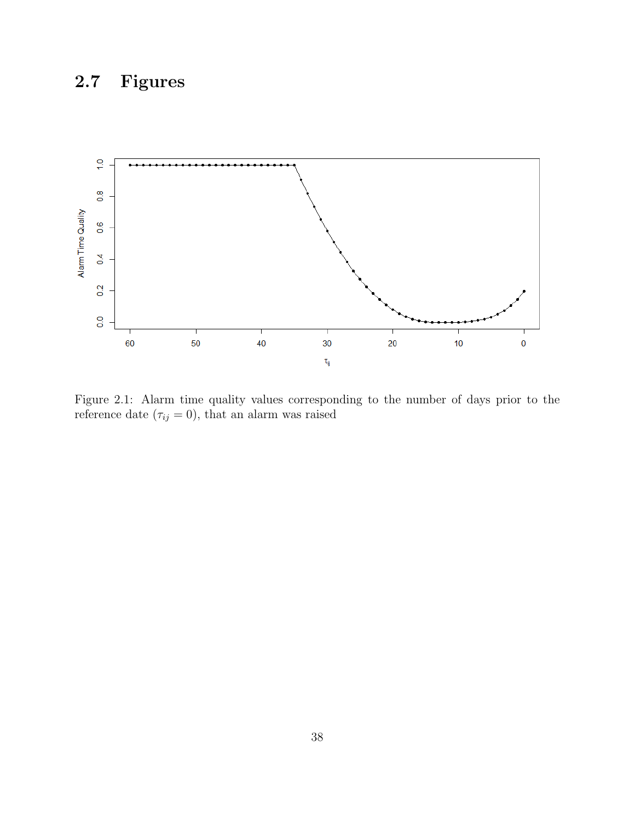## <span id="page-44-0"></span>2.7 Figures



<span id="page-44-1"></span>Figure 2.1: Alarm time quality values corresponding to the number of days prior to the reference date  $(\tau_{ij}=0)$ , that an alarm was raised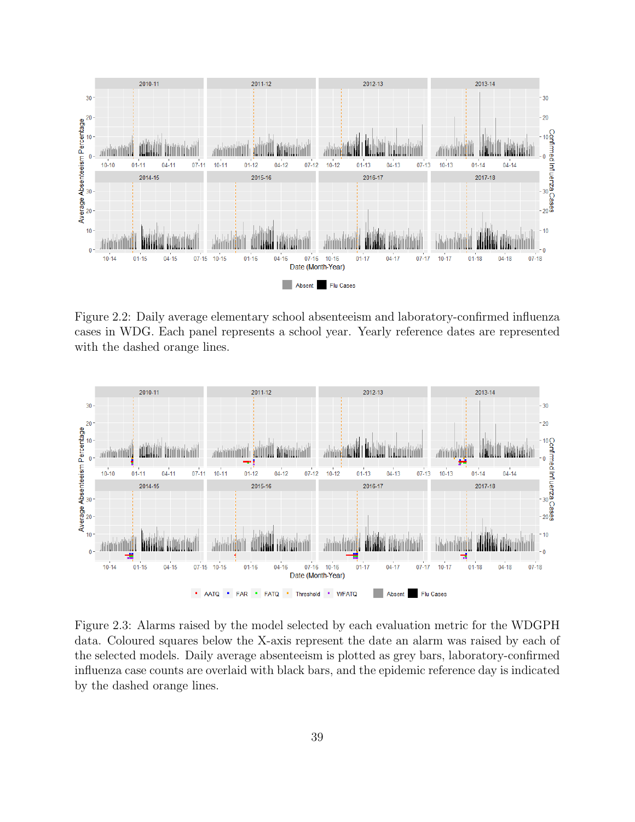

<span id="page-45-0"></span>Figure 2.2: Daily average elementary school absenteeism and laboratory-confirmed influenza cases in WDG. Each panel represents a school year. Yearly reference dates are represented with the dashed orange lines.



<span id="page-45-1"></span>Figure 2.3: Alarms raised by the model selected by each evaluation metric for the WDGPH data. Coloured squares below the X-axis represent the date an alarm was raised by each of the selected models. Daily average absenteeism is plotted as grey bars, laboratory-confirmed influenza case counts are overlaid with black bars, and the epidemic reference day is indicated by the dashed orange lines.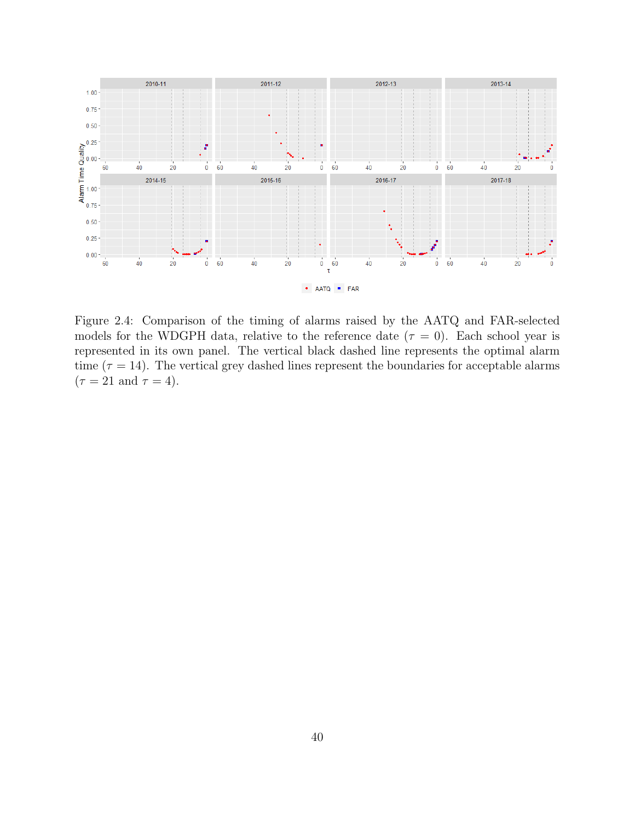

<span id="page-46-0"></span>Figure 2.4: Comparison of the timing of alarms raised by the AATQ and FAR-selected models for the WDGPH data, relative to the reference date  $(\tau = 0)$ . Each school year is represented in its own panel. The vertical black dashed line represents the optimal alarm time ( $\tau = 14$ ). The vertical grey dashed lines represent the boundaries for acceptable alarms  $(\tau = 21 \text{ and } \tau = 4).$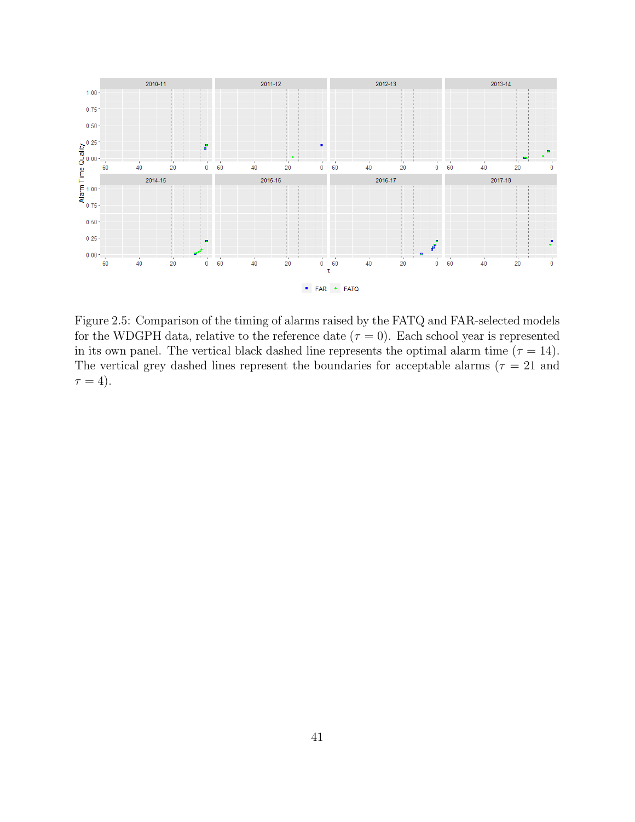

<span id="page-47-0"></span>Figure 2.5: Comparison of the timing of alarms raised by the FATQ and FAR-selected models for the WDGPH data, relative to the reference date  $(\tau = 0)$ . Each school year is represented in its own panel. The vertical black dashed line represents the optimal alarm time ( $\tau = 14$ ). The vertical grey dashed lines represent the boundaries for acceptable alarms ( $\tau = 21$  and  $\tau = 4$ ).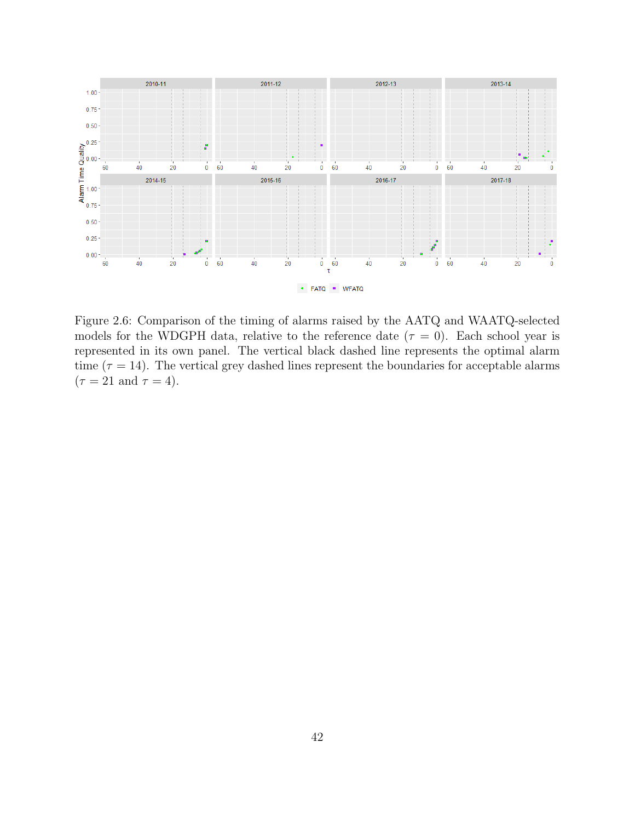

<span id="page-48-0"></span>Figure 2.6: Comparison of the timing of alarms raised by the AATQ and WAATQ-selected models for the WDGPH data, relative to the reference date  $(\tau = 0)$ . Each school year is represented in its own panel. The vertical black dashed line represents the optimal alarm time ( $\tau = 14$ ). The vertical grey dashed lines represent the boundaries for acceptable alarms  $(\tau = 21 \text{ and } \tau = 4).$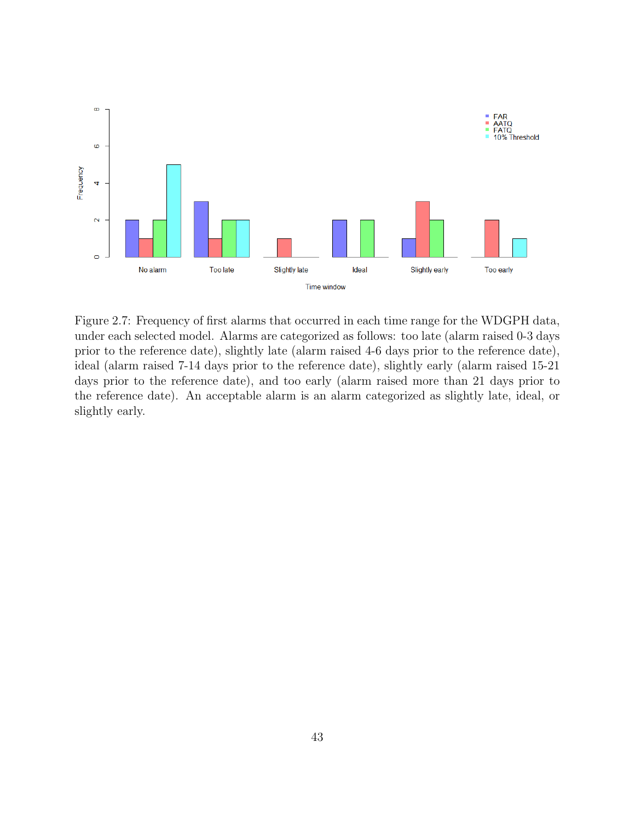

<span id="page-49-0"></span>Figure 2.7: Frequency of first alarms that occurred in each time range for the WDGPH data, under each selected model. Alarms are categorized as follows: too late (alarm raised 0-3 days prior to the reference date), slightly late (alarm raised 4-6 days prior to the reference date), ideal (alarm raised 7-14 days prior to the reference date), slightly early (alarm raised 15-21 days prior to the reference date), and too early (alarm raised more than 21 days prior to the reference date). An acceptable alarm is an alarm categorized as slightly late, ideal, or slightly early.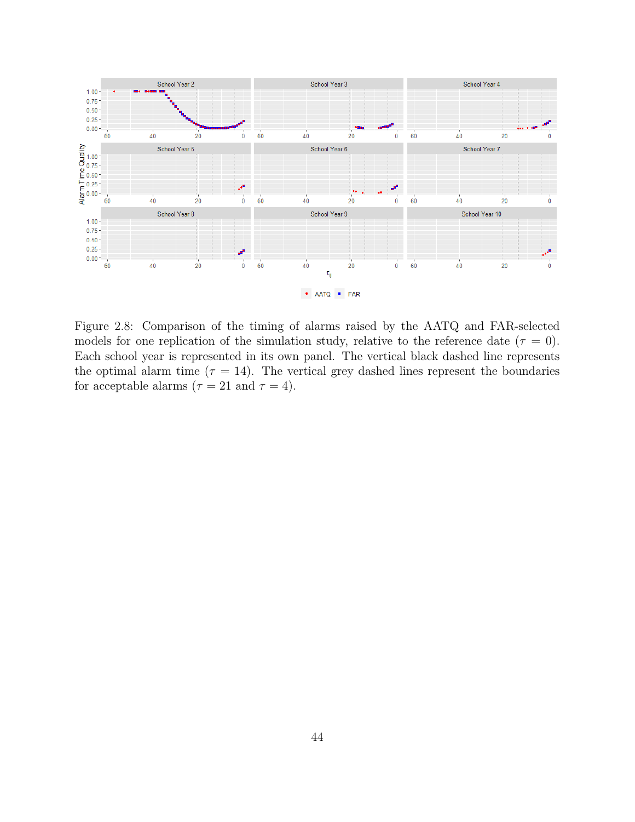

<span id="page-50-0"></span>Figure 2.8: Comparison of the timing of alarms raised by the AATQ and FAR-selected models for one replication of the simulation study, relative to the reference date ( $\tau = 0$ ). Each school year is represented in its own panel. The vertical black dashed line represents the optimal alarm time ( $\tau = 14$ ). The vertical grey dashed lines represent the boundaries for acceptable alarms ( $\tau = 21$  and  $\tau = 4$ ).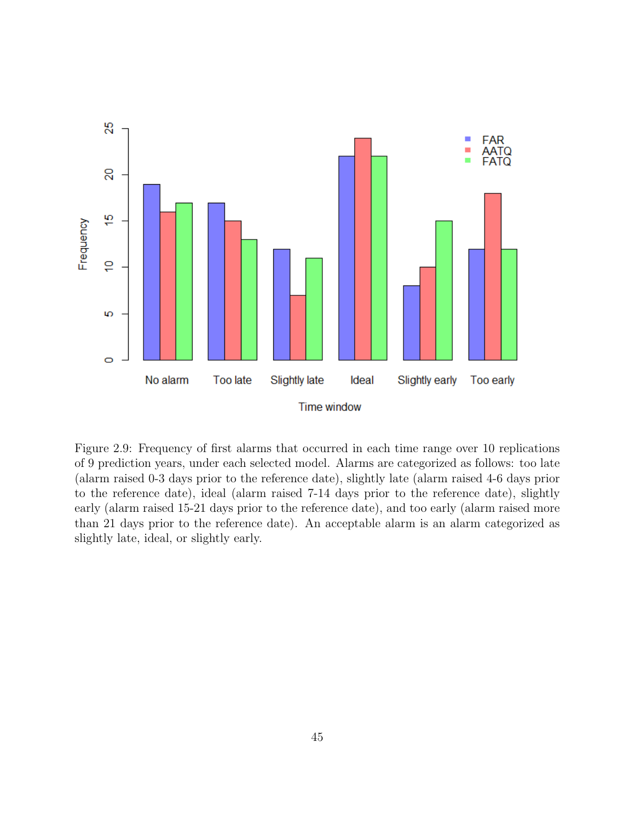

<span id="page-51-0"></span>Figure 2.9: Frequency of first alarms that occurred in each time range over 10 replications of 9 prediction years, under each selected model. Alarms are categorized as follows: too late (alarm raised 0-3 days prior to the reference date), slightly late (alarm raised 4-6 days prior to the reference date), ideal (alarm raised 7-14 days prior to the reference date), slightly early (alarm raised 15-21 days prior to the reference date), and too early (alarm raised more than 21 days prior to the reference date). An acceptable alarm is an alarm categorized as slightly late, ideal, or slightly early.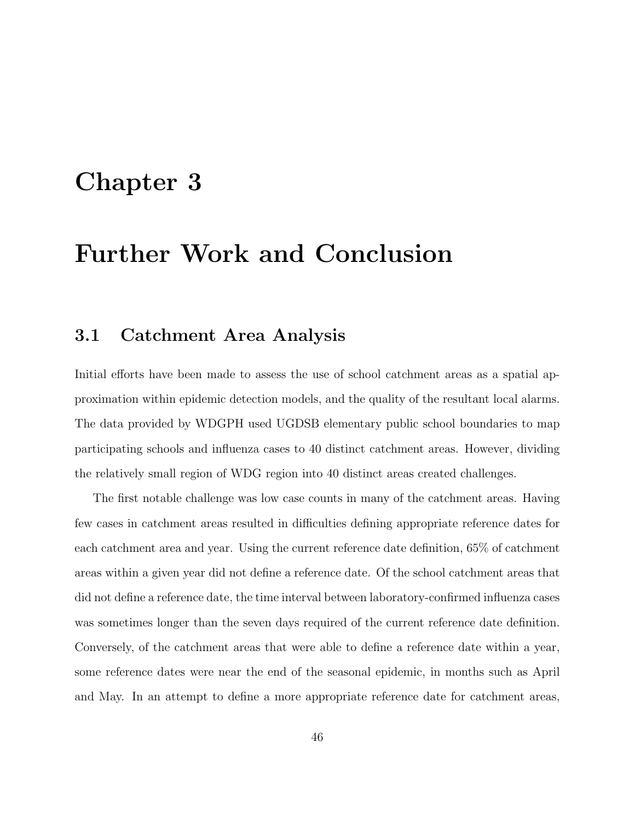## <span id="page-52-0"></span>Chapter 3

## Further Work and Conclusion

### <span id="page-52-1"></span>3.1 Catchment Area Analysis

Initial efforts have been made to assess the use of school catchment areas as a spatial approximation within epidemic detection models, and the quality of the resultant local alarms. The data provided by WDGPH used UGDSB elementary public school boundaries to map participating schools and influenza cases to 40 distinct catchment areas. However, dividing the relatively small region of WDG region into 40 distinct areas created challenges.

The first notable challenge was low case counts in many of the catchment areas. Having few cases in catchment areas resulted in difficulties defining appropriate reference dates for each catchment area and year. Using the current reference date definition, 65% of catchment areas within a given year did not define a reference date. Of the school catchment areas that did not define a reference date, the time interval between laboratory-confirmed influenza cases was sometimes longer than the seven days required of the current reference date definition. Conversely, of the catchment areas that were able to define a reference date within a year, some reference dates were near the end of the seasonal epidemic, in months such as April and May. In an attempt to define a more appropriate reference date for catchment areas,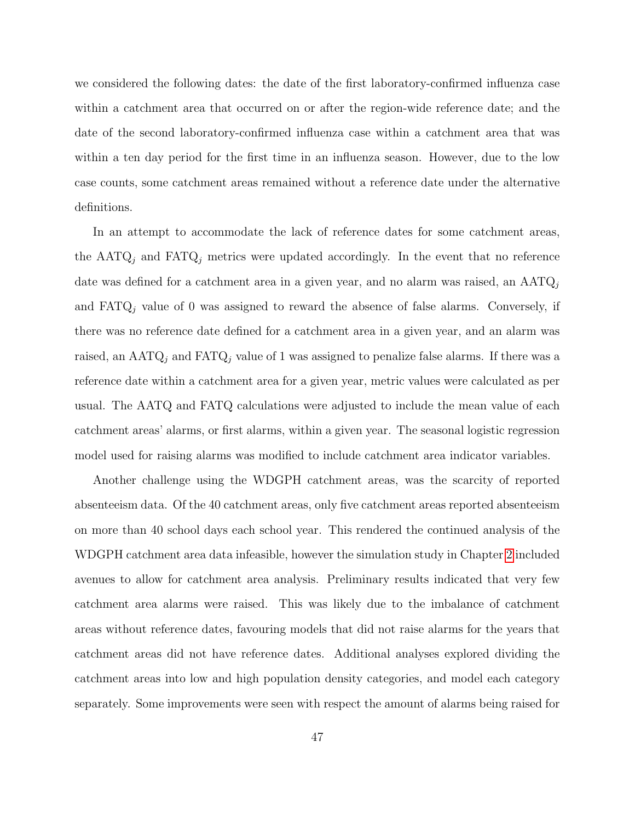we considered the following dates: the date of the first laboratory-confirmed influenza case within a catchment area that occurred on or after the region-wide reference date; and the date of the second laboratory-confirmed influenza case within a catchment area that was within a ten day period for the first time in an influenza season. However, due to the low case counts, some catchment areas remained without a reference date under the alternative definitions.

In an attempt to accommodate the lack of reference dates for some catchment areas, the  $AATQ_j$  and  $FATQ_j$  metrics were updated accordingly. In the event that no reference date was defined for a catchment area in a given year, and no alarm was raised, an  $\text{AATQ}_i$ and  $FATQ_j$  value of 0 was assigned to reward the absence of false alarms. Conversely, if there was no reference date defined for a catchment area in a given year, and an alarm was raised, an  $AATQ_j$  and  $FATQ_j$  value of 1 was assigned to penalize false alarms. If there was a reference date within a catchment area for a given year, metric values were calculated as per usual. The AATQ and FATQ calculations were adjusted to include the mean value of each catchment areas' alarms, or first alarms, within a given year. The seasonal logistic regression model used for raising alarms was modified to include catchment area indicator variables.

Another challenge using the WDGPH catchment areas, was the scarcity of reported absenteeism data. Of the 40 catchment areas, only five catchment areas reported absenteeism on more than 40 school days each school year. This rendered the continued analysis of the WDGPH catchment area data infeasible, however the simulation study in Chapter [2](#page-11-0) included avenues to allow for catchment area analysis. Preliminary results indicated that very few catchment area alarms were raised. This was likely due to the imbalance of catchment areas without reference dates, favouring models that did not raise alarms for the years that catchment areas did not have reference dates. Additional analyses explored dividing the catchment areas into low and high population density categories, and model each category separately. Some improvements were seen with respect the amount of alarms being raised for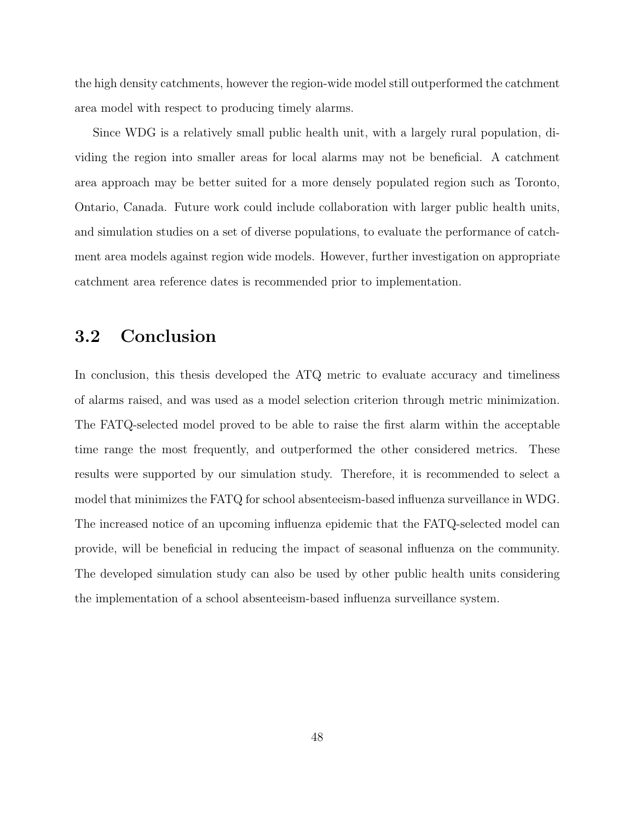the high density catchments, however the region-wide model still outperformed the catchment area model with respect to producing timely alarms.

Since WDG is a relatively small public health unit, with a largely rural population, dividing the region into smaller areas for local alarms may not be beneficial. A catchment area approach may be better suited for a more densely populated region such as Toronto, Ontario, Canada. Future work could include collaboration with larger public health units, and simulation studies on a set of diverse populations, to evaluate the performance of catchment area models against region wide models. However, further investigation on appropriate catchment area reference dates is recommended prior to implementation.

### <span id="page-54-0"></span>3.2 Conclusion

In conclusion, this thesis developed the ATQ metric to evaluate accuracy and timeliness of alarms raised, and was used as a model selection criterion through metric minimization. The FATQ-selected model proved to be able to raise the first alarm within the acceptable time range the most frequently, and outperformed the other considered metrics. These results were supported by our simulation study. Therefore, it is recommended to select a model that minimizes the FATQ for school absenteeism-based influenza surveillance in WDG. The increased notice of an upcoming influenza epidemic that the FATQ-selected model can provide, will be beneficial in reducing the impact of seasonal influenza on the community. The developed simulation study can also be used by other public health units considering the implementation of a school absenteeism-based influenza surveillance system.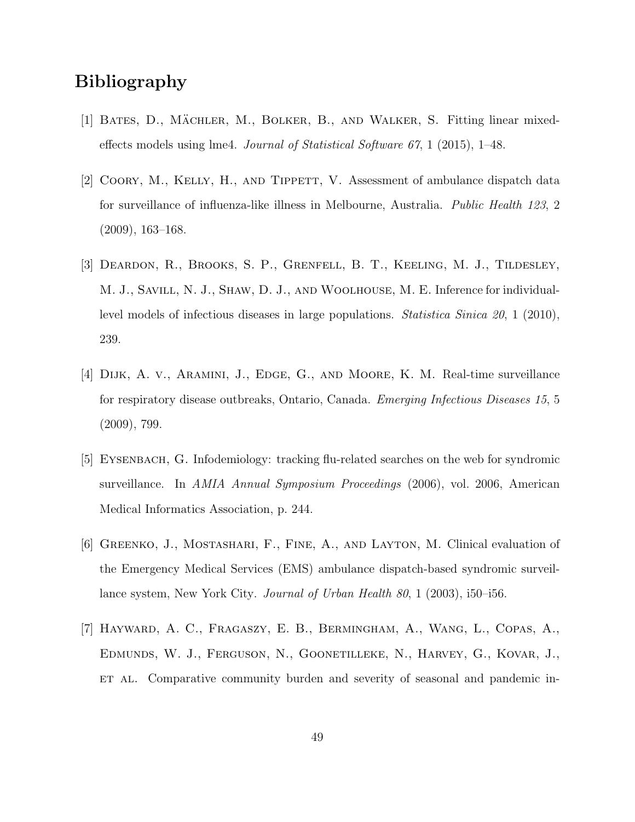## Bibliography

- [1] BATES, D., MÄCHLER, M., BOLKER, B., AND WALKER, S. Fitting linear mixedeffects models using lme4. Journal of Statistical Software  $67$ , 1 (2015), 1–48.
- <span id="page-55-1"></span>[2] Coory, M., Kelly, H., and Tippett, V. Assessment of ambulance dispatch data for surveillance of influenza-like illness in Melbourne, Australia. *Public Health 123*, 2 (2009), 163–168.
- [3] Deardon, R., Brooks, S. P., Grenfell, B. T., Keeling, M. J., Tildesley, M. J., Savill, N. J., Shaw, D. J., and Woolhouse, M. E. Inference for individuallevel models of infectious diseases in large populations. Statistica Sinica 20, 1 (2010), 239.
- <span id="page-55-2"></span>[4] Dijk, A. v., Aramini, J., Edge, G., and Moore, K. M. Real-time surveillance for respiratory disease outbreaks, Ontario, Canada. Emerging Infectious Diseases 15, 5 (2009), 799.
- <span id="page-55-3"></span>[5] Eysenbach, G. Infodemiology: tracking flu-related searches on the web for syndromic surveillance. In AMIA Annual Symposium Proceedings (2006), vol. 2006, American Medical Informatics Association, p. 244.
- <span id="page-55-0"></span>[6] Greenko, J., Mostashari, F., Fine, A., and Layton, M. Clinical evaluation of the Emergency Medical Services (EMS) ambulance dispatch-based syndromic surveillance system, New York City. Journal of Urban Health 80, 1 (2003), i50–i56.
- <span id="page-55-4"></span>[7] Hayward, A. C., Fragaszy, E. B., Bermingham, A., Wang, L., Copas, A., Edmunds, W. J., Ferguson, N., Goonetilleke, N., Harvey, G., Kovar, J., ET AL. Comparative community burden and severity of seasonal and pandemic in-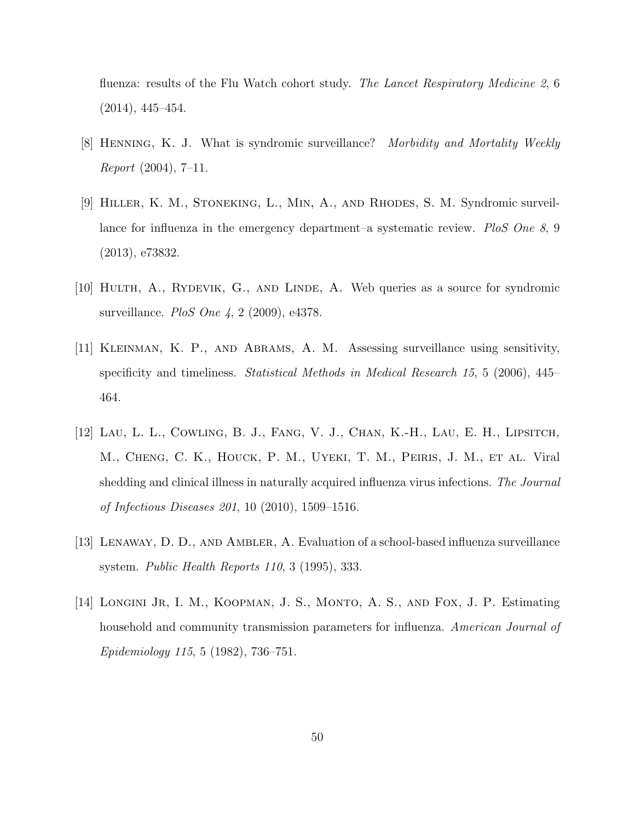fluenza: results of the Flu Watch cohort study. The Lancet Respiratory Medicine 2, 6 (2014), 445–454.

- <span id="page-56-0"></span>[8] Henning, K. J. What is syndromic surveillance? Morbidity and Mortality Weekly Report (2004), 7–11.
- <span id="page-56-1"></span>[9] Hiller, K. M., Stoneking, L., Min, A., and Rhodes, S. M. Syndromic surveillance for influenza in the emergency department–a systematic review. PloS One 8, 9 (2013), e73832.
- <span id="page-56-2"></span>[10] Hulth, A., Rydevik, G., and Linde, A. Web queries as a source for syndromic surveillance. *PloS One* 4, 2 (2009), e4378.
- <span id="page-56-5"></span>[11] Kleinman, K. P., and Abrams, A. M. Assessing surveillance using sensitivity, specificity and timeliness. Statistical Methods in Medical Research 15, 5 (2006), 445– 464.
- [12] Lau, L. L., Cowling, B. J., Fang, V. J., Chan, K.-H., Lau, E. H., Lipsitch, M., Cheng, C. K., Houck, P. M., Uyeki, T. M., Peiris, J. M., et al. Viral shedding and clinical illness in naturally acquired influenza virus infections. The Journal of Infectious Diseases 201, 10 (2010), 1509–1516.
- <span id="page-56-4"></span>[13] Lenaway, D. D., and Ambler, A. Evaluation of a school-based influenza surveillance system. Public Health Reports 110, 3 (1995), 333.
- <span id="page-56-3"></span>[14] LONGINI JR, I. M., KOOPMAN, J. S., MONTO, A. S., AND FOX, J. P. Estimating household and community transmission parameters for influenza. American Journal of Epidemiology 115, 5 (1982), 736–751.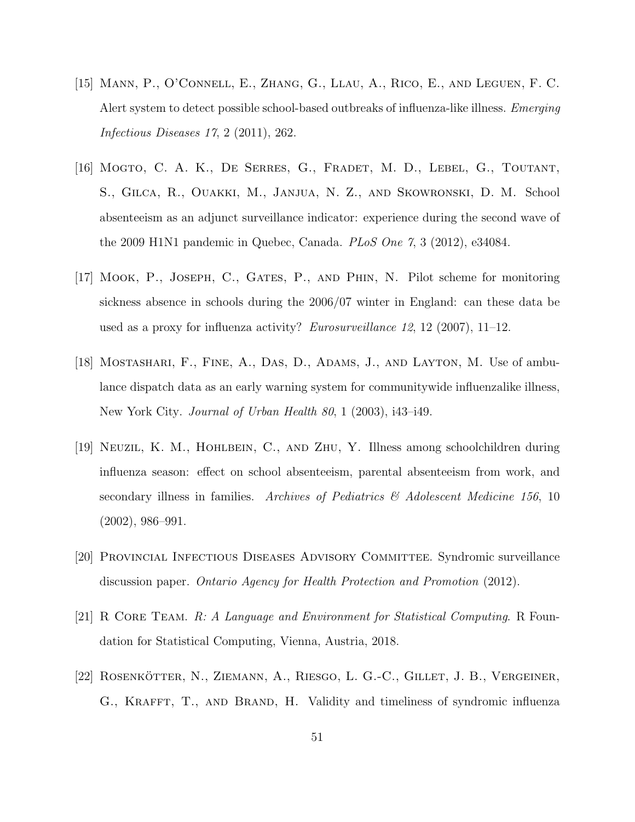- <span id="page-57-6"></span>[15] Mann, P., O'Connell, E., Zhang, G., Llau, A., Rico, E., and Leguen, F. C. Alert system to detect possible school-based outbreaks of influenza-like illness. Emerging Infectious Diseases 17, 2 (2011), 262.
- <span id="page-57-5"></span>[16] Mogto, C. A. K., De Serres, G., Fradet, M. D., Lebel, G., Toutant, S., Gilca, R., Ouakki, M., Janjua, N. Z., and Skowronski, D. M. School absenteeism as an adjunct surveillance indicator: experience during the second wave of the 2009 H1N1 pandemic in Quebec, Canada. *PLoS One*  $7, 3$  (2012), e34084.
- <span id="page-57-4"></span>[17] Mook, P., Joseph, C., Gates, P., and Phin, N. Pilot scheme for monitoring sickness absence in schools during the 2006/07 winter in England: can these data be used as a proxy for influenza activity? Eurosurveillance 12, 12 (2007), 11–12.
- <span id="page-57-1"></span>[18] Mostashari, F., Fine, A., Das, D., Adams, J., and Layton, M. Use of ambulance dispatch data as an early warning system for communitywide influenzalike illness, New York City. Journal of Urban Health 80, 1 (2003), i43–i49.
- <span id="page-57-3"></span>[19] Neuzil, K. M., Hohlbein, C., and Zhu, Y. Illness among schoolchildren during influenza season: effect on school absenteeism, parental absenteeism from work, and secondary illness in families. Archives of Pediatrics  $\mathcal{B}$  Adolescent Medicine 156, 10 (2002), 986–991.
- <span id="page-57-0"></span>[20] Provincial Infectious Diseases Advisory Committee. Syndromic surveillance discussion paper. Ontario Agency for Health Protection and Promotion (2012).
- [21] R CORE TEAM. R: A Language and Environment for Statistical Computing. R Foundation for Statistical Computing, Vienna, Austria, 2018.
- <span id="page-57-2"></span> $[22]$  ROSENKÖTTER, N., ZIEMANN, A., RIESGO, L. G.-C., GILLET, J. B., VERGEINER, G., KRAFFT, T., AND BRAND, H. Validity and timeliness of syndromic influenza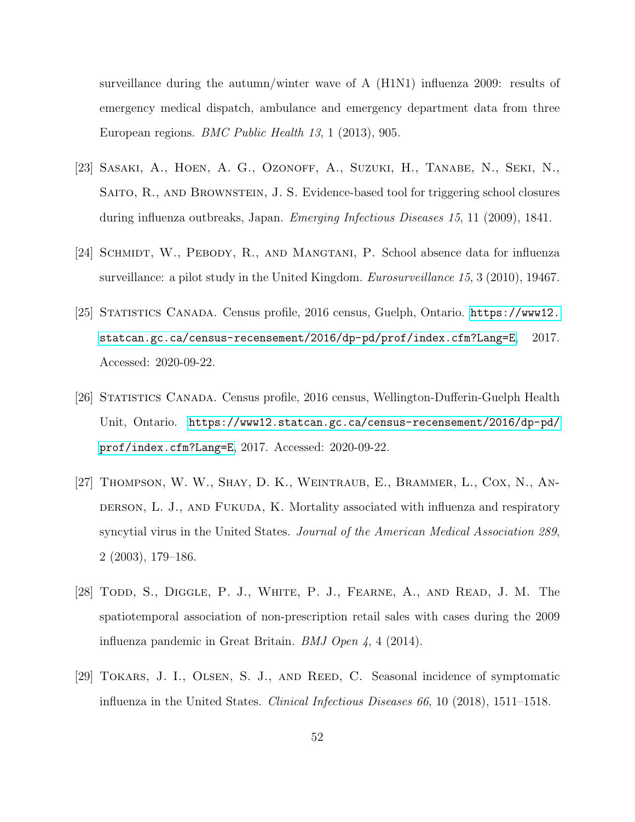surveillance during the autumn/winter wave of A (H1N1) influenza 2009: results of emergency medical dispatch, ambulance and emergency department data from three European regions. BMC Public Health 13, 1 (2013), 905.

- <span id="page-58-3"></span>[23] Sasaki, A., Hoen, A. G., Ozonoff, A., Suzuki, H., Tanabe, N., Seki, N., Saito, R., and Brownstein, J. S. Evidence-based tool for triggering school closures during influenza outbreaks, Japan. Emerging Infectious Diseases 15, 11 (2009), 1841.
- [24] SCHMIDT, W., PEBODY, R., AND MANGTANI, P. School absence data for influenza surveillance: a pilot study in the United Kingdom. *Eurosurveillance 15*, 3 (2010), 19467.
- <span id="page-58-2"></span>[25] Statistics Canada. Census profile, 2016 census, Guelph, Ontario. [https://www12.](https://www12.statcan.gc.ca/census-recensement/2016/dp-pd/prof/index.cfm?Lang=E) [statcan.gc.ca/census-recensement/2016/dp-pd/prof/index.cfm?Lang=E](https://www12.statcan.gc.ca/census-recensement/2016/dp-pd/prof/index.cfm?Lang=E), 2017. Accessed: 2020-09-22.
- <span id="page-58-1"></span>[26] Statistics Canada. Census profile, 2016 census, Wellington-Dufferin-Guelph Health Unit, Ontario. [https://www12.statcan.gc.ca/census-recensement/2016/dp-pd/](https://www12.statcan.gc.ca/census-recensement/2016/dp-pd/prof/index.cfm?Lang=E) [prof/index.cfm?Lang=E](https://www12.statcan.gc.ca/census-recensement/2016/dp-pd/prof/index.cfm?Lang=E), 2017. Accessed: 2020-09-22.
- [27] Thompson, W. W., Shay, D. K., Weintraub, E., Brammer, L., Cox, N., An-DERSON, L. J., AND FUKUDA, K. Mortality associated with influenza and respiratory syncytial virus in the United States. Journal of the American Medical Association 289, 2 (2003), 179–186.
- <span id="page-58-0"></span>[28] TODD, S., DIGGLE, P. J., WHITE, P. J., FEARNE, A., AND READ, J. M. The spatiotemporal association of non-prescription retail sales with cases during the 2009 influenza pandemic in Great Britain. *BMJ Open 4*, 4 (2014).
- [29] TOKARS, J. I., OLSEN, S. J., AND REED, C. Seasonal incidence of symptomatic influenza in the United States. Clinical Infectious Diseases 66, 10 (2018), 1511–1518.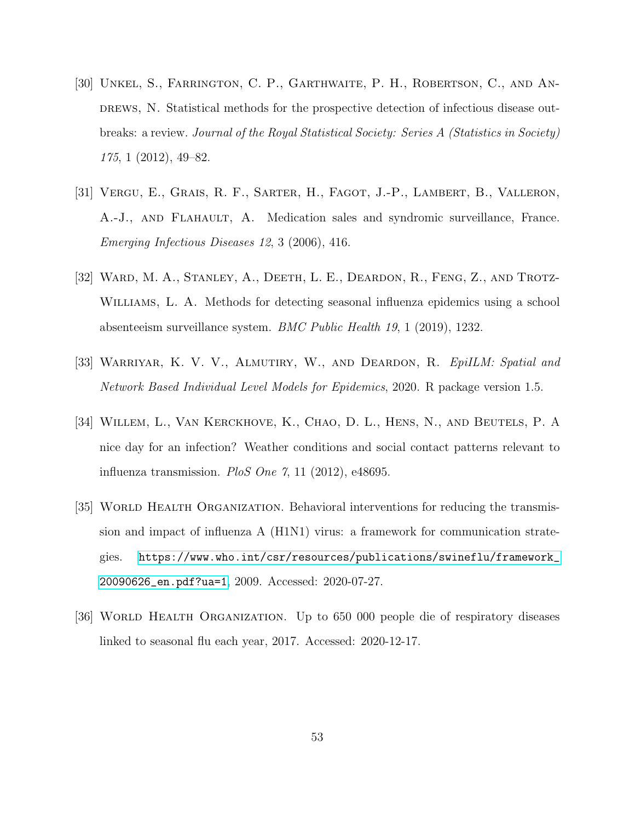- [30] Unkel, S., Farrington, C. P., Garthwaite, P. H., Robertson, C., and An-DREWS, N. Statistical methods for the prospective detection of infectious disease outbreaks: a review. Journal of the Royal Statistical Society: Series A (Statistics in Society) 175, 1 (2012), 49–82.
- <span id="page-59-2"></span>[31] Vergu, E., Grais, R. F., Sarter, H., Fagot, J.-P., Lambert, B., Valleron, A.-J., and Flahault, A. Medication sales and syndromic surveillance, France. Emerging Infectious Diseases 12, 3 (2006), 416.
- <span id="page-59-3"></span>[32] Ward, M. A., Stanley, A., Deeth, L. E., Deardon, R., Feng, Z., and Trotz-WILLIAMS, L. A. Methods for detecting seasonal influenza epidemics using a school absenteeism surveillance system. BMC Public Health 19, 1 (2019), 1232.
- [33] WARRIYAR, K. V. V., ALMUTIRY, W., AND DEARDON, R. EpilLM: Spatial and Network Based Individual Level Models for Epidemics, 2020. R package version 1.5.
- [34] WILLEM, L., VAN KERCKHOVE, K., CHAO, D. L., HENS, N., AND BEUTELS, P. A nice day for an infection? Weather conditions and social contact patterns relevant to influenza transmission. PloS One  $\gamma$ , 11 (2012), e48695.
- <span id="page-59-1"></span>[35] WORLD HEALTH ORGANIZATION. Behavioral interventions for reducing the transmission and impact of influenza A (H1N1) virus: a framework for communication strategies. [https://www.who.int/csr/resources/publications/swineflu/framework\\_](https://www.who.int/csr/resources/publications/swineflu/framework_20090626_en.pdf?ua=1) [20090626\\_en.pdf?ua=1](https://www.who.int/csr/resources/publications/swineflu/framework_20090626_en.pdf?ua=1), 2009. Accessed: 2020-07-27.
- <span id="page-59-0"></span>[36] World Health Organization. Up to 650 000 people die of respiratory diseases linked to seasonal flu each year, 2017. Accessed: 2020-12-17.